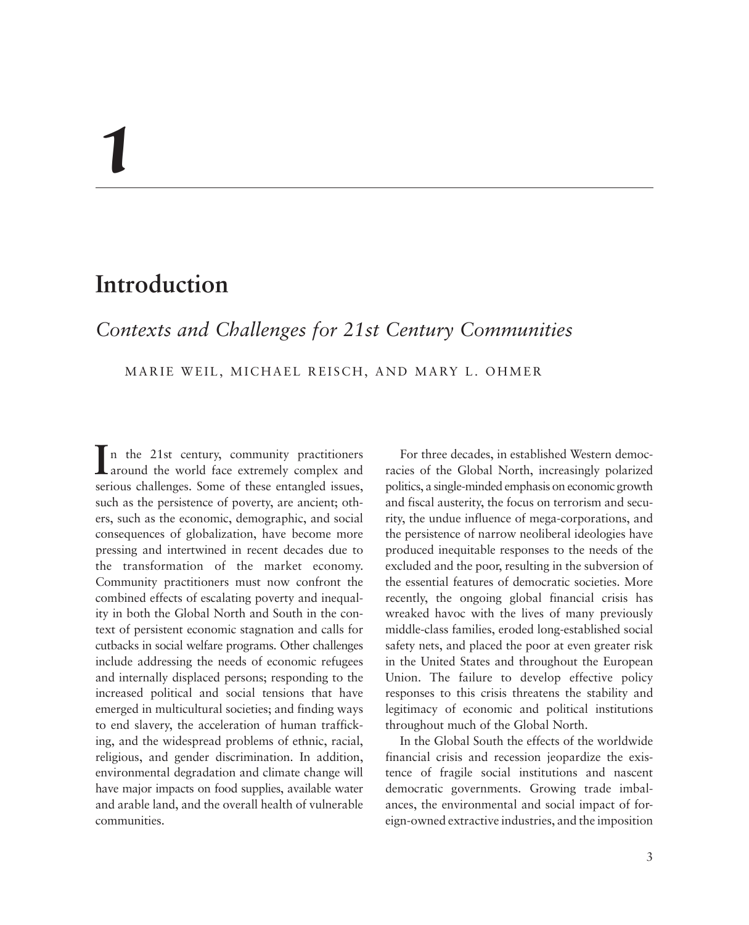# *1*

### **Introduction**

## *Contexts and Challenges for 21st Century Communities* MARIE WEIL, MICHAEL REISCH, AND MARY L. OHMER

In the 21st century, community practitioners<br>around the world face extremely complex and **L** around the world face extremely complex and serious challenges. Some of these entangled issues, such as the persistence of poverty, are ancient; others, such as the economic, demographic, and social consequences of globalization, have become more pressing and intertwined in recent decades due to the transformation of the market economy. Community practitioners must now confront the combined effects of escalating poverty and inequality in both the Global North and South in the context of persistent economic stagnation and calls for cutbacks in social welfare programs. Other challenges include addressing the needs of economic refugees and internally displaced persons; responding to the increased political and social tensions that have emerged in multicultural societies; and finding ways to end slavery, the acceleration of human trafficking, and the widespread problems of ethnic, racial, religious, and gender discrimination. In addition, environmental degradation and climate change will have major impacts on food supplies, available water and arable land, and the overall health of vulnerable communities.

For three decades, in established Western democracies of the Global North, increasingly polarized politics, a single-minded emphasis on economic growth and fiscal austerity, the focus on terrorism and security, the undue influence of mega-corporations, and the persistence of narrow neoliberal ideologies have produced inequitable responses to the needs of the excluded and the poor, resulting in the subversion of the essential features of democratic societies. More recently, the ongoing global financial crisis has wreaked havoc with the lives of many previously middle-class families, eroded long-established social safety nets, and placed the poor at even greater risk in the United States and throughout the European Union. The failure to develop effective policy responses to this crisis threatens the stability and legitimacy of economic and political institutions throughout much of the Global North.

In the Global South the effects of the worldwide financial crisis and recession jeopardize the existence of fragile social institutions and nascent democratic governments. Growing trade imbalances, the environmental and social impact of foreign-owned extractive industries, and the imposition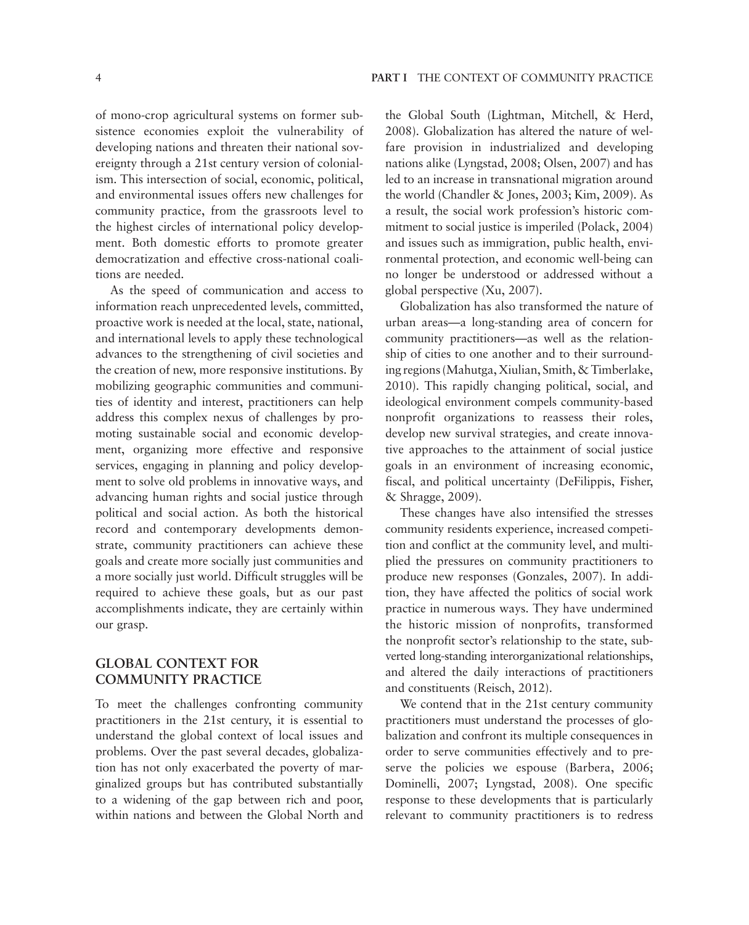of mono-crop agricultural systems on former subsistence economies exploit the vulnerability of developing nations and threaten their national sovereignty through a 21st century version of colonialism. This intersection of social, economic, political, and environmental issues offers new challenges for community practice, from the grassroots level to the highest circles of international policy development. Both domestic efforts to promote greater democratization and effective cross-national coalitions are needed.

As the speed of communication and access to information reach unprecedented levels, committed, proactive work is needed at the local, state, national, and international levels to apply these technological advances to the strengthening of civil societies and the creation of new, more responsive institutions. By mobilizing geographic communities and communities of identity and interest, practitioners can help address this complex nexus of challenges by promoting sustainable social and economic development, organizing more effective and responsive services, engaging in planning and policy development to solve old problems in innovative ways, and advancing human rights and social justice through political and social action. As both the historical record and contemporary developments demonstrate, community practitioners can achieve these goals and create more socially just communities and a more socially just world. Difficult struggles will be required to achieve these goals, but as our past accomplishments indicate, they are certainly within our grasp.

#### **GLOBAL CONTEXT FOR COMMUNITY PRACTICE**

To meet the challenges confronting community practitioners in the 21st century, it is essential to understand the global context of local issues and problems. Over the past several decades, globalization has not only exacerbated the poverty of marginalized groups but has contributed substantially to a widening of the gap between rich and poor, within nations and between the Global North and the Global South (Lightman, Mitchell, & Herd, 2008). Globalization has altered the nature of welfare provision in industrialized and developing nations alike (Lyngstad, 2008; Olsen, 2007) and has led to an increase in transnational migration around the world (Chandler & Jones, 2003; Kim, 2009). As a result, the social work profession's historic commitment to social justice is imperiled (Polack, 2004) and issues such as immigration, public health, environmental protection, and economic well-being can no longer be understood or addressed without a global perspective (Xu, 2007).

Globalization has also transformed the nature of urban areas—a long-standing area of concern for community practitioners—as well as the relationship of cities to one another and to their surrounding regions (Mahutga, Xiulian, Smith, & Timberlake, 2010). This rapidly changing political, social, and ideological environment compels community-based nonprofit organizations to reassess their roles, develop new survival strategies, and create innovative approaches to the attainment of social justice goals in an environment of increasing economic, fiscal, and political uncertainty (DeFilippis, Fisher, & Shragge, 2009).

These changes have also intensified the stresses community residents experience, increased competition and conflict at the community level, and multiplied the pressures on community practitioners to produce new responses (Gonzales, 2007). In addition, they have affected the politics of social work practice in numerous ways. They have undermined the historic mission of nonprofits, transformed the nonprofit sector's relationship to the state, subverted long-standing interorganizational relationships, and altered the daily interactions of practitioners and constituents (Reisch, 2012).

We contend that in the 21st century community practitioners must understand the processes of globalization and confront its multiple consequences in order to serve communities effectively and to preserve the policies we espouse (Barbera, 2006; Dominelli, 2007; Lyngstad, 2008). One specific response to these developments that is particularly relevant to community practitioners is to redress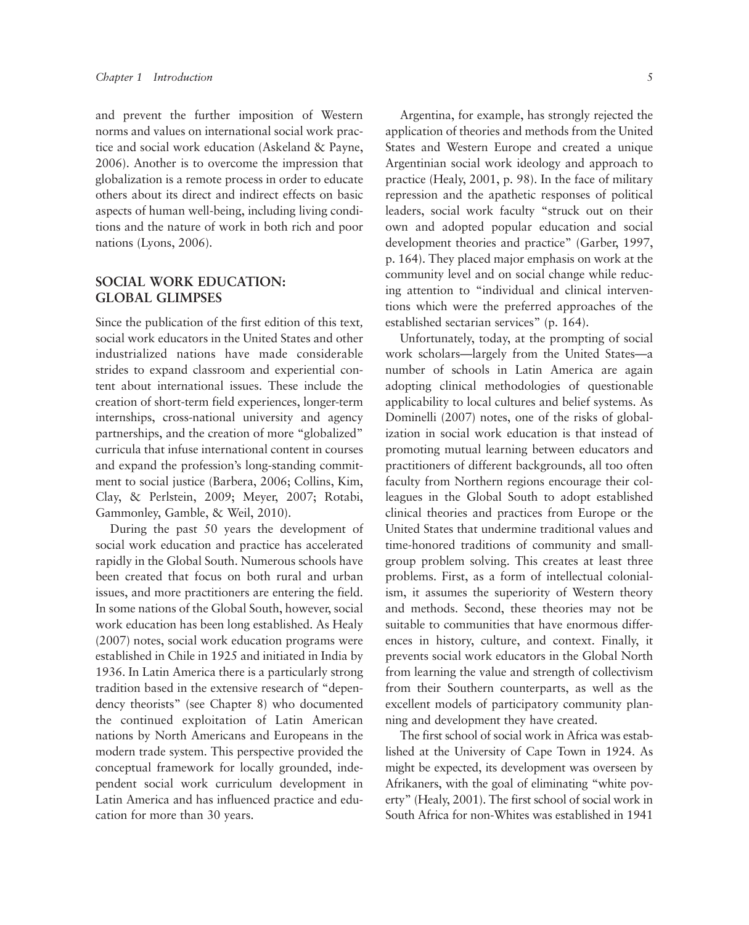and prevent the further imposition of Western norms and values on international social work practice and social work education (Askeland & Payne, 2006). Another is to overcome the impression that globalization is a remote process in order to educate others about its direct and indirect effects on basic aspects of human well-being, including living conditions and the nature of work in both rich and poor nations (Lyons, 2006).

#### **SOCIAL WORK EDUCATION: GLOBAL GLIMPSES**

Since the publication of the first edition of this text*,* social work educators in the United States and other industrialized nations have made considerable strides to expand classroom and experiential content about international issues. These include the creation of short-term field experiences, longer-term internships, cross-national university and agency partnerships, and the creation of more "globalized" curricula that infuse international content in courses and expand the profession's long-standing commitment to social justice (Barbera, 2006; Collins, Kim, Clay, & Perlstein, 2009; Meyer, 2007; Rotabi, Gammonley, Gamble, & Weil, 2010).

During the past 50 years the development of social work education and practice has accelerated rapidly in the Global South. Numerous schools have been created that focus on both rural and urban issues, and more practitioners are entering the field. In some nations of the Global South, however, social work education has been long established. As Healy (2007) notes, social work education programs were established in Chile in 1925 and initiated in India by 1936. In Latin America there is a particularly strong tradition based in the extensive research of "dependency theorists" (see Chapter 8) who documented the continued exploitation of Latin American nations by North Americans and Europeans in the modern trade system. This perspective provided the conceptual framework for locally grounded, independent social work curriculum development in Latin America and has influenced practice and education for more than 30 years.

Argentina, for example, has strongly rejected the application of theories and methods from the United States and Western Europe and created a unique Argentinian social work ideology and approach to practice (Healy, 2001, p. 98). In the face of military repression and the apathetic responses of political leaders, social work faculty "struck out on their own and adopted popular education and social development theories and practice" (Garber, 1997, p. 164). They placed major emphasis on work at the community level and on social change while reducing attention to "individual and clinical interventions which were the preferred approaches of the established sectarian services" (p. 164).

Unfortunately, today, at the prompting of social work scholars—largely from the United States—a number of schools in Latin America are again adopting clinical methodologies of questionable applicability to local cultures and belief systems. As Dominelli (2007) notes, one of the risks of globalization in social work education is that instead of promoting mutual learning between educators and practitioners of different backgrounds, all too often faculty from Northern regions encourage their colleagues in the Global South to adopt established clinical theories and practices from Europe or the United States that undermine traditional values and time-honored traditions of community and smallgroup problem solving. This creates at least three problems. First, as a form of intellectual colonialism, it assumes the superiority of Western theory and methods. Second, these theories may not be suitable to communities that have enormous differences in history, culture, and context. Finally, it prevents social work educators in the Global North from learning the value and strength of collectivism from their Southern counterparts, as well as the excellent models of participatory community planning and development they have created.

The first school of social work in Africa was established at the University of Cape Town in 1924. As might be expected, its development was overseen by Afrikaners, with the goal of eliminating "white poverty" (Healy, 2001). The first school of social work in South Africa for non-Whites was established in 1941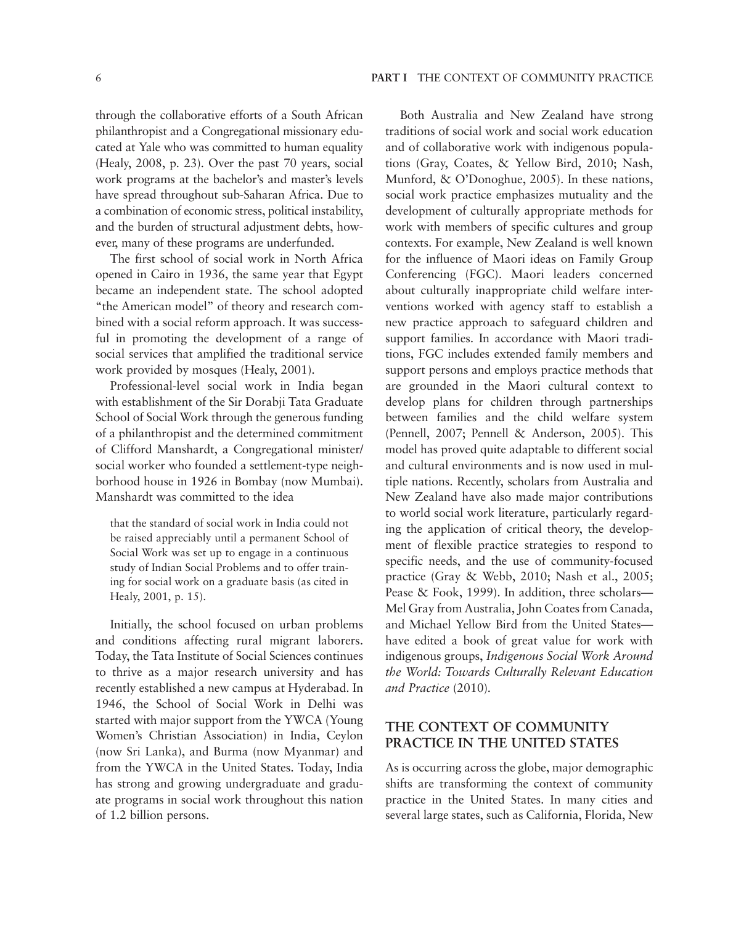through the collaborative efforts of a South African philanthropist and a Congregational missionary educated at Yale who was committed to human equality (Healy, 2008, p. 23). Over the past 70 years, social work programs at the bachelor's and master's levels have spread throughout sub-Saharan Africa. Due to a combination of economic stress, political instability, and the burden of structural adjustment debts, however, many of these programs are underfunded.

The first school of social work in North Africa opened in Cairo in 1936, the same year that Egypt became an independent state. The school adopted "the American model" of theory and research combined with a social reform approach. It was successful in promoting the development of a range of social services that amplified the traditional service work provided by mosques (Healy, 2001).

Professional-level social work in India began with establishment of the Sir Dorabji Tata Graduate School of Social Work through the generous funding of a philanthropist and the determined commitment of Clifford Manshardt, a Congregational minister/ social worker who founded a settlement-type neighborhood house in 1926 in Bombay (now Mumbai). Manshardt was committed to the idea

that the standard of social work in India could not be raised appreciably until a permanent School of Social Work was set up to engage in a continuous study of Indian Social Problems and to offer training for social work on a graduate basis (as cited in Healy, 2001, p. 15).

Initially, the school focused on urban problems and conditions affecting rural migrant laborers. Today, the Tata Institute of Social Sciences continues to thrive as a major research university and has recently established a new campus at Hyderabad. In 1946, the School of Social Work in Delhi was started with major support from the YWCA (Young Women's Christian Association) in India, Ceylon (now Sri Lanka), and Burma (now Myanmar) and from the YWCA in the United States. Today, India has strong and growing undergraduate and graduate programs in social work throughout this nation of 1.2 billion persons.

Both Australia and New Zealand have strong traditions of social work and social work education and of collaborative work with indigenous populations (Gray, Coates, & Yellow Bird, 2010; Nash, Munford, & O'Donoghue, 2005). In these nations, social work practice emphasizes mutuality and the development of culturally appropriate methods for work with members of specific cultures and group contexts. For example, New Zealand is well known for the influence of Maori ideas on Family Group Conferencing (FGC). Maori leaders concerned about culturally inappropriate child welfare interventions worked with agency staff to establish a new practice approach to safeguard children and support families. In accordance with Maori traditions, FGC includes extended family members and support persons and employs practice methods that are grounded in the Maori cultural context to develop plans for children through partnerships between families and the child welfare system (Pennell, 2007; Pennell & Anderson, 2005). This model has proved quite adaptable to different social and cultural environments and is now used in multiple nations. Recently, scholars from Australia and New Zealand have also made major contributions to world social work literature, particularly regarding the application of critical theory, the development of flexible practice strategies to respond to specific needs, and the use of community-focused practice (Gray & Webb, 2010; Nash et al., 2005; Pease & Fook, 1999). In addition, three scholars-Mel Gray from Australia, John Coates from Canada, and Michael Yellow Bird from the United States have edited a book of great value for work with indigenous groups, *Indigenous Social Work Around the World: Towards Culturally Relevant Education and Practice* (2010)*.*

#### **THE CONTEXT OF COMMUNITY PRACTICE IN THE UNITED STATES**

As is occurring across the globe, major demographic shifts are transforming the context of community practice in the United States. In many cities and several large states, such as California, Florida, New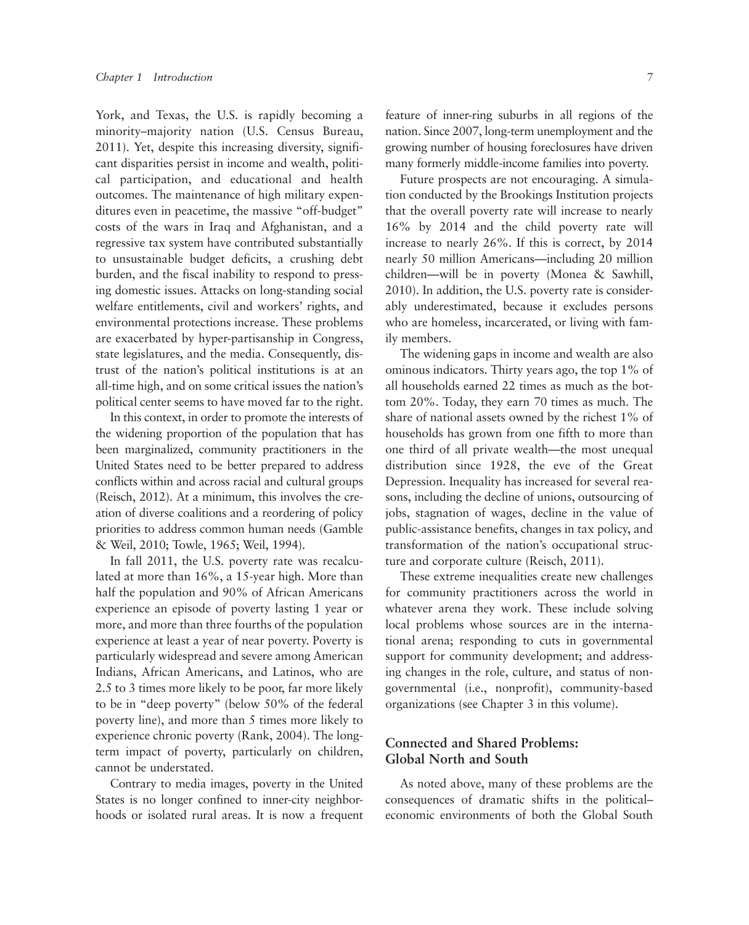York, and Texas, the U.S. is rapidly becoming a minority–majority nation (U.S. Census Bureau, 2011). Yet, despite this increasing diversity, significant disparities persist in income and wealth, political participation, and educational and health outcomes. The maintenance of high military expenditures even in peacetime, the massive "off-budget" costs of the wars in Iraq and Afghanistan, and a regressive tax system have contributed substantially to unsustainable budget deficits, a crushing debt burden, and the fiscal inability to respond to pressing domestic issues. Attacks on long-standing social welfare entitlements, civil and workers' rights, and environmental protections increase. These problems are exacerbated by hyper-partisanship in Congress, state legislatures, and the media. Consequently, distrust of the nation's political institutions is at an all-time high, and on some critical issues the nation's political center seems to have moved far to the right.

In this context, in order to promote the interests of the widening proportion of the population that has been marginalized, community practitioners in the United States need to be better prepared to address conflicts within and across racial and cultural groups (Reisch, 2012). At a minimum, this involves the creation of diverse coalitions and a reordering of policy priorities to address common human needs (Gamble & Weil, 2010; Towle, 1965; Weil, 1994).

In fall 2011, the U.S. poverty rate was recalculated at more than 16%, a 15-year high. More than half the population and 90% of African Americans experience an episode of poverty lasting 1 year or more, and more than three fourths of the population experience at least a year of near poverty. Poverty is particularly widespread and severe among American Indians, African Americans, and Latinos, who are 2.5 to 3 times more likely to be poor, far more likely to be in "deep poverty" (below 50% of the federal poverty line), and more than 5 times more likely to experience chronic poverty (Rank, 2004). The longterm impact of poverty, particularly on children, cannot be understated.

Contrary to media images, poverty in the United States is no longer confined to inner-city neighborhoods or isolated rural areas. It is now a frequent feature of inner-ring suburbs in all regions of the nation. Since 2007, long-term unemployment and the growing number of housing foreclosures have driven many formerly middle-income families into poverty.

Future prospects are not encouraging. A simulation conducted by the Brookings Institution projects that the overall poverty rate will increase to nearly 16% by 2014 and the child poverty rate will increase to nearly 26%. If this is correct, by 2014 nearly 50 million Americans—including 20 million children—will be in poverty (Monea & Sawhill, 2010). In addition, the U.S. poverty rate is considerably underestimated, because it excludes persons who are homeless, incarcerated, or living with family members.

The widening gaps in income and wealth are also ominous indicators. Thirty years ago, the top 1% of all households earned 22 times as much as the bottom 20%. Today, they earn 70 times as much. The share of national assets owned by the richest 1% of households has grown from one fifth to more than one third of all private wealth—the most unequal distribution since 1928, the eve of the Great Depression. Inequality has increased for several reasons, including the decline of unions, outsourcing of jobs, stagnation of wages, decline in the value of public-assistance benefits, changes in tax policy, and transformation of the nation's occupational structure and corporate culture (Reisch, 2011).

These extreme inequalities create new challenges for community practitioners across the world in whatever arena they work. These include solving local problems whose sources are in the international arena; responding to cuts in governmental support for community development; and addressing changes in the role, culture, and status of nongovernmental (i.e., nonprofit), community-based organizations (see Chapter 3 in this volume).

#### **Connected and Shared Problems: Global North and South**

As noted above, many of these problems are the consequences of dramatic shifts in the political– economic environments of both the Global South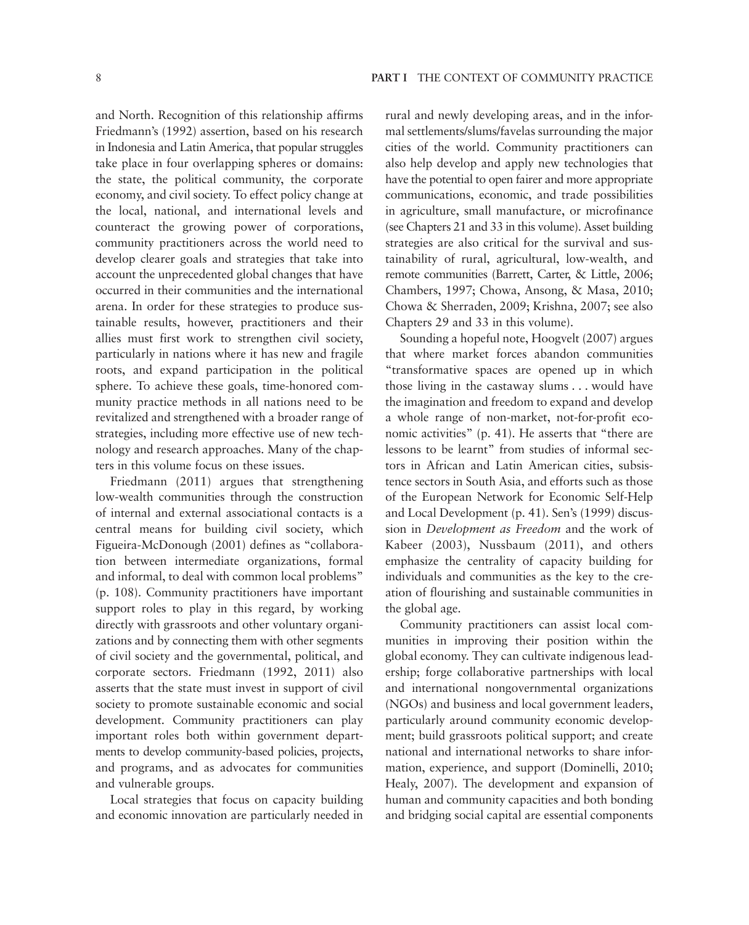and North. Recognition of this relationship affirms Friedmann's (1992) assertion, based on his research in Indonesia and Latin America, that popular struggles take place in four overlapping spheres or domains: the state, the political community, the corporate economy, and civil society. To effect policy change at the local, national, and international levels and counteract the growing power of corporations, community practitioners across the world need to develop clearer goals and strategies that take into account the unprecedented global changes that have occurred in their communities and the international arena. In order for these strategies to produce sustainable results, however, practitioners and their allies must first work to strengthen civil society, particularly in nations where it has new and fragile roots, and expand participation in the political sphere. To achieve these goals, time-honored community practice methods in all nations need to be revitalized and strengthened with a broader range of strategies, including more effective use of new technology and research approaches. Many of the chapters in this volume focus on these issues.

Friedmann (2011) argues that strengthening low-wealth communities through the construction of internal and external associational contacts is a central means for building civil society, which Figueira-McDonough (2001) defines as "collaboration between intermediate organizations, formal and informal, to deal with common local problems" (p. 108). Community practitioners have important support roles to play in this regard, by working directly with grassroots and other voluntary organizations and by connecting them with other segments of civil society and the governmental, political, and corporate sectors. Friedmann (1992, 2011) also asserts that the state must invest in support of civil society to promote sustainable economic and social development. Community practitioners can play important roles both within government departments to develop community-based policies, projects, and programs, and as advocates for communities and vulnerable groups.

Local strategies that focus on capacity building and economic innovation are particularly needed in rural and newly developing areas, and in the informal settlements/slums/favelas surrounding the major cities of the world. Community practitioners can also help develop and apply new technologies that have the potential to open fairer and more appropriate communications, economic, and trade possibilities in agriculture, small manufacture, or microfinance (see Chapters 21 and 33 in this volume). Asset building strategies are also critical for the survival and sustainability of rural, agricultural, low-wealth, and remote communities (Barrett, Carter, & Little, 2006; Chambers, 1997; Chowa, Ansong, & Masa, 2010; Chowa & Sherraden, 2009; Krishna, 2007; see also Chapters 29 and 33 in this volume).

Sounding a hopeful note, Hoogvelt (2007) argues that where market forces abandon communities "transformative spaces are opened up in which those living in the castaway slums . . . would have the imagination and freedom to expand and develop a whole range of non-market, not-for-profit economic activities" (p. 41). He asserts that "there are lessons to be learnt" from studies of informal sectors in African and Latin American cities, subsistence sectors in South Asia, and efforts such as those of the European Network for Economic Self-Help and Local Development (p. 41). Sen's (1999) discussion in *Development as Freedom* and the work of Kabeer (2003), Nussbaum (2011), and others emphasize the centrality of capacity building for individuals and communities as the key to the creation of flourishing and sustainable communities in the global age.

Community practitioners can assist local communities in improving their position within the global economy. They can cultivate indigenous leadership; forge collaborative partnerships with local and international nongovernmental organizations (NGOs) and business and local government leaders, particularly around community economic development; build grassroots political support; and create national and international networks to share information, experience, and support (Dominelli, 2010; Healy, 2007). The development and expansion of human and community capacities and both bonding and bridging social capital are essential components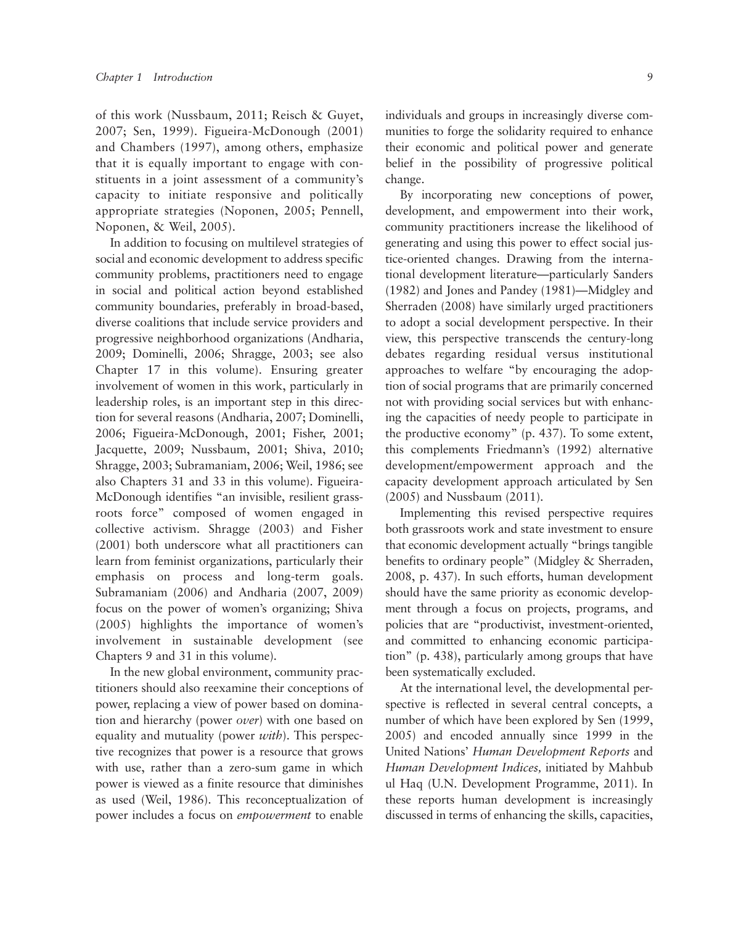of this work (Nussbaum, 2011; Reisch & Guyet, 2007; Sen, 1999). Figueira-McDonough (2001) and Chambers (1997), among others, emphasize that it is equally important to engage with constituents in a joint assessment of a community's capacity to initiate responsive and politically appropriate strategies (Noponen, 2005; Pennell, Noponen, & Weil, 2005).

In addition to focusing on multilevel strategies of social and economic development to address specific community problems, practitioners need to engage in social and political action beyond established community boundaries, preferably in broad-based, diverse coalitions that include service providers and progressive neighborhood organizations (Andharia, 2009; Dominelli, 2006; Shragge, 2003; see also Chapter 17 in this volume). Ensuring greater involvement of women in this work, particularly in leadership roles, is an important step in this direction for several reasons (Andharia, 2007; Dominelli, 2006; Figueira-McDonough, 2001; Fisher, 2001; Jacquette, 2009; Nussbaum, 2001; Shiva, 2010; Shragge, 2003; Subramaniam, 2006; Weil, 1986; see also Chapters 31 and 33 in this volume). Figueira-McDonough identifies "an invisible, resilient grassroots force" composed of women engaged in collective activism. Shragge (2003) and Fisher (2001) both underscore what all practitioners can learn from feminist organizations, particularly their emphasis on process and long-term goals. Subramaniam (2006) and Andharia (2007, 2009) focus on the power of women's organizing; Shiva (2005) highlights the importance of women's involvement in sustainable development (see Chapters 9 and 31 in this volume).

In the new global environment, community practitioners should also reexamine their conceptions of power, replacing a view of power based on domination and hierarchy (power *over*) with one based on equality and mutuality (power *with*). This perspective recognizes that power is a resource that grows with use, rather than a zero-sum game in which power is viewed as a finite resource that diminishes as used (Weil, 1986). This reconceptualization of power includes a focus on *empowerment* to enable individuals and groups in increasingly diverse communities to forge the solidarity required to enhance their economic and political power and generate belief in the possibility of progressive political change.

By incorporating new conceptions of power, development, and empowerment into their work, community practitioners increase the likelihood of generating and using this power to effect social justice-oriented changes. Drawing from the international development literature—particularly Sanders (1982) and Jones and Pandey (1981)—Midgley and Sherraden (2008) have similarly urged practitioners to adopt a social development perspective. In their view, this perspective transcends the century-long debates regarding residual versus institutional approaches to welfare "by encouraging the adoption of social programs that are primarily concerned not with providing social services but with enhancing the capacities of needy people to participate in the productive economy" (p. 437). To some extent, this complements Friedmann's (1992) alternative development/empowerment approach and the capacity development approach articulated by Sen (2005) and Nussbaum (2011).

Implementing this revised perspective requires both grassroots work and state investment to ensure that economic development actually "brings tangible benefits to ordinary people" (Midgley & Sherraden, 2008, p. 437). In such efforts, human development should have the same priority as economic development through a focus on projects, programs, and policies that are "productivist, investment-oriented, and committed to enhancing economic participation" (p. 438), particularly among groups that have been systematically excluded.

At the international level, the developmental perspective is reflected in several central concepts, a number of which have been explored by Sen (1999, 2005) and encoded annually since 1999 in the United Nations' *Human Development Reports* and *Human Development Indices,* initiated by Mahbub ul Haq (U.N. Development Programme, 2011). In these reports human development is increasingly discussed in terms of enhancing the skills, capacities,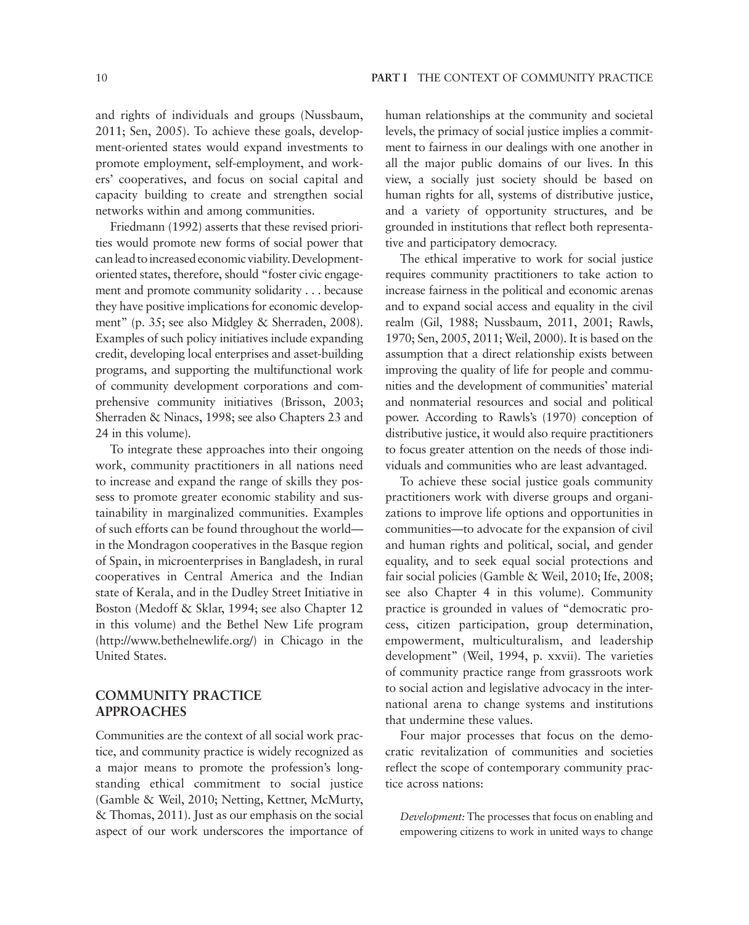and rights of individuals and groups (Nussbaum, 2011; Sen, 2005). To achieve these goals, development-oriented states would expand investments to promote employment, self-employment, and workers' cooperatives, and focus on social capital and capacity building to create and strengthen social networks within and among communities.

Friedmann (1992) asserts that these revised priorities would promote new forms of social power that can lead to increased economic viability. Developmentoriented states, therefore, should "foster civic engagement and promote community solidarity . . . because they have positive implications for economic development" (p. 35; see also Midgley & Sherraden, 2008). Examples of such policy initiatives include expanding credit, developing local enterprises and asset-building programs, and supporting the multifunctional work of community development corporations and comprehensive community initiatives (Brisson, 2003; Sherraden & Ninacs, 1998; see also Chapters 23 and 24 in this volume).

To integrate these approaches into their ongoing work, community practitioners in all nations need to increase and expand the range of skills they possess to promote greater economic stability and sustainability in marginalized communities. Examples of such efforts can be found throughout the world in the Mondragon cooperatives in the Basque region of Spain, in microenterprises in Bangladesh, in rural cooperatives in Central America and the Indian state of Kerala, and in the Dudley Street Initiative in Boston (Medoff & Sklar, 1994; see also Chapter 12 in this volume) and the Bethel New Life program (http://www.bethelnewlife.org/) in Chicago in the United States.

#### **COMMUNITY PRACTICE APPROACHES**

Communities are the context of all social work practice, and community practice is widely recognized as a major means to promote the profession's longstanding ethical commitment to social justice (Gamble & Weil, 2010; Netting, Kettner, McMurty, & Thomas, 2011). Just as our emphasis on the social aspect of our work underscores the importance of human relationships at the community and societal levels, the primacy of social justice implies a commitment to fairness in our dealings with one another in all the major public domains of our lives. In this view, a socially just society should be based on human rights for all, systems of distributive justice, and a variety of opportunity structures, and be grounded in institutions that reflect both representative and participatory democracy.

The ethical imperative to work for social justice requires community practitioners to take action to increase fairness in the political and economic arenas and to expand social access and equality in the civil realm (Gil, 1988; Nussbaum, 2011, 2001; Rawls, 1970; Sen, 2005, 2011; Weil, 2000). It is based on the assumption that a direct relationship exists between improving the quality of life for people and communities and the development of communities' material and nonmaterial resources and social and political power. According to Rawls's (1970) conception of distributive justice, it would also require practitioners to focus greater attention on the needs of those individuals and communities who are least advantaged.

To achieve these social justice goals community practitioners work with diverse groups and organizations to improve life options and opportunities in communities—to advocate for the expansion of civil and human rights and political, social, and gender equality, and to seek equal social protections and fair social policies (Gamble & Weil, 2010; Ife, 2008; see also Chapter 4 in this volume). Community practice is grounded in values of "democratic process, citizen participation, group determination, empowerment, multiculturalism, and leadership development" (Weil, 1994, p. xxvii). The varieties of community practice range from grassroots work to social action and legislative advocacy in the international arena to change systems and institutions that undermine these values.

Four major processes that focus on the democratic revitalization of communities and societies reflect the scope of contemporary community practice across nations:

*Development:* The processes that focus on enabling and empowering citizens to work in united ways to change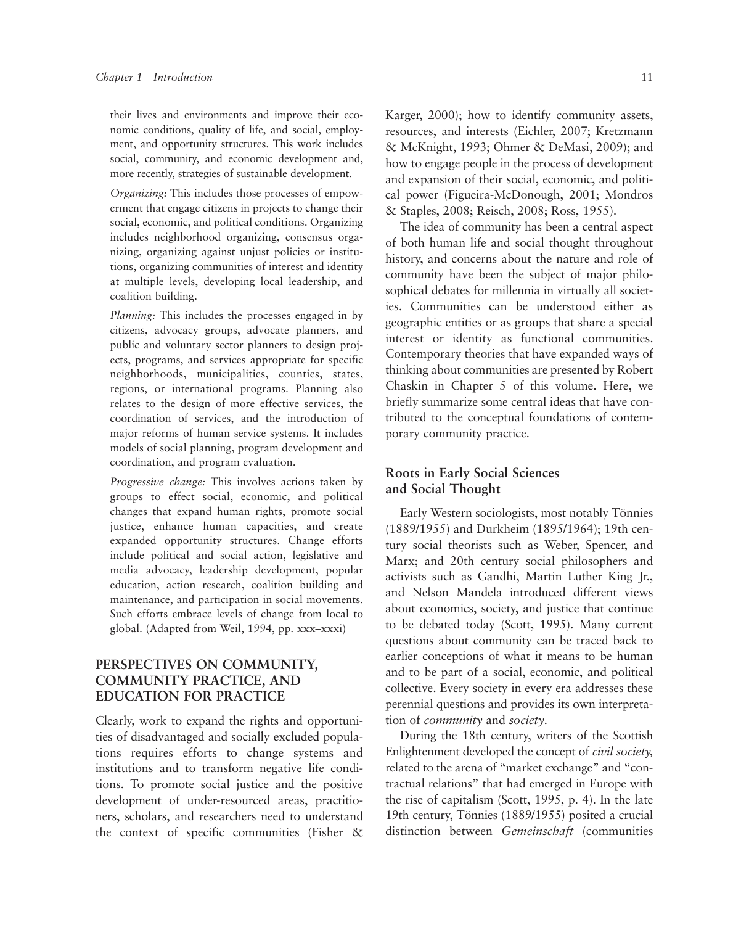their lives and environments and improve their economic conditions, quality of life, and social, employment, and opportunity structures. This work includes social, community, and economic development and, more recently, strategies of sustainable development.

*Organizing:* This includes those processes of empowerment that engage citizens in projects to change their social, economic, and political conditions. Organizing includes neighborhood organizing, consensus organizing, organizing against unjust policies or institutions, organizing communities of interest and identity at multiple levels, developing local leadership, and coalition building.

*Planning:* This includes the processes engaged in by citizens, advocacy groups, advocate planners, and public and voluntary sector planners to design projects, programs, and services appropriate for specific neighborhoods, municipalities, counties, states, regions, or international programs. Planning also relates to the design of more effective services, the coordination of services, and the introduction of major reforms of human service systems. It includes models of social planning, program development and coordination, and program evaluation.

*Progressive change:* This involves actions taken by groups to effect social, economic, and political changes that expand human rights, promote social justice, enhance human capacities, and create expanded opportunity structures. Change efforts include political and social action, legislative and media advocacy, leadership development, popular education, action research, coalition building and maintenance, and participation in social movements. Such efforts embrace levels of change from local to global. (Adapted from Weil, 1994, pp. xxx–xxxi)

#### **PERSPECTIVES ON COMMUNITY, COMMUNITY PRACTICE, AND EDUCATION FOR PRACTICE**

Clearly, work to expand the rights and opportunities of disadvantaged and socially excluded populations requires efforts to change systems and institutions and to transform negative life conditions. To promote social justice and the positive development of under-resourced areas, practitioners, scholars, and researchers need to understand the context of specific communities (Fisher & Karger, 2000); how to identify community assets, resources, and interests (Eichler, 2007; Kretzmann & McKnight, 1993; Ohmer & DeMasi, 2009); and how to engage people in the process of development and expansion of their social, economic, and political power (Figueira-McDonough, 2001; Mondros & Staples, 2008; Reisch, 2008; Ross, 1955).

The idea of community has been a central aspect of both human life and social thought throughout history, and concerns about the nature and role of community have been the subject of major philosophical debates for millennia in virtually all societies. Communities can be understood either as geographic entities or as groups that share a special interest or identity as functional communities. Contemporary theories that have expanded ways of thinking about communities are presented by Robert Chaskin in Chapter 5 of this volume. Here, we briefly summarize some central ideas that have contributed to the conceptual foundations of contemporary community practice.

#### **Roots in Early Social Sciences and Social Thought**

Early Western sociologists, most notably Tönnies (1889/1955) and Durkheim (1895/1964); 19th century social theorists such as Weber, Spencer, and Marx; and 20th century social philosophers and activists such as Gandhi, Martin Luther King Jr., and Nelson Mandela introduced different views about economics, society, and justice that continue to be debated today (Scott, 1995). Many current questions about community can be traced back to earlier conceptions of what it means to be human and to be part of a social, economic, and political collective. Every society in every era addresses these perennial questions and provides its own interpretation of *community* and *society*.

During the 18th century, writers of the Scottish Enlightenment developed the concept of *civil society,* related to the arena of "market exchange" and "contractual relations" that had emerged in Europe with the rise of capitalism (Scott, 1995, p. 4). In the late 19th century, Tönnies (1889/1955) posited a crucial distinction between *Gemeinschaft* (communities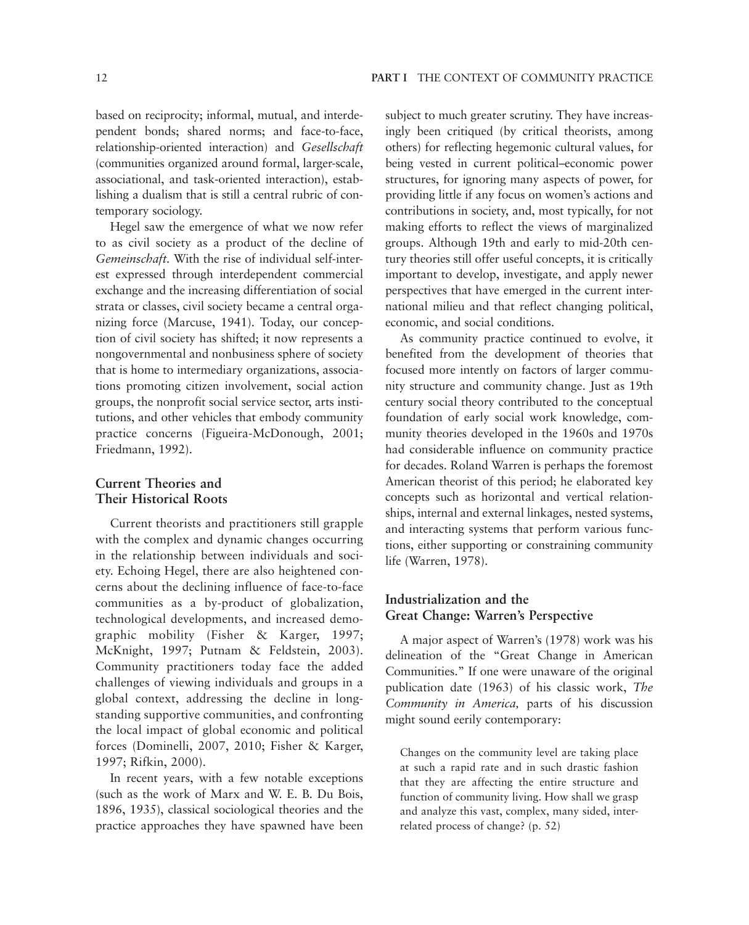based on reciprocity; informal, mutual, and interdependent bonds; shared norms; and face-to-face, relationship-oriented interaction) and *Gesellschaft* (communities organized around formal, larger-scale, associational, and task-oriented interaction), establishing a dualism that is still a central rubric of contemporary sociology.

Hegel saw the emergence of what we now refer to as civil society as a product of the decline of *Gemeinschaft.* With the rise of individual self-interest expressed through interdependent commercial exchange and the increasing differentiation of social strata or classes, civil society became a central organizing force (Marcuse, 1941). Today, our conception of civil society has shifted; it now represents a nongovernmental and nonbusiness sphere of society that is home to intermediary organizations, associations promoting citizen involvement, social action groups, the nonprofit social service sector, arts institutions, and other vehicles that embody community practice concerns (Figueira-McDonough, 2001; Friedmann, 1992).

#### **Current Theories and Their Historical Roots**

Current theorists and practitioners still grapple with the complex and dynamic changes occurring in the relationship between individuals and society. Echoing Hegel, there are also heightened concerns about the declining influence of face-to-face communities as a by-product of globalization, technological developments, and increased demographic mobility (Fisher & Karger, 1997; McKnight, 1997; Putnam & Feldstein, 2003). Community practitioners today face the added challenges of viewing individuals and groups in a global context, addressing the decline in longstanding supportive communities, and confronting the local impact of global economic and political forces (Dominelli, 2007, 2010; Fisher & Karger, 1997; Rifkin, 2000).

In recent years, with a few notable exceptions (such as the work of Marx and W. E. B. Du Bois, 1896, 1935), classical sociological theories and the practice approaches they have spawned have been subject to much greater scrutiny. They have increasingly been critiqued (by critical theorists, among others) for reflecting hegemonic cultural values, for being vested in current political–economic power structures, for ignoring many aspects of power, for providing little if any focus on women's actions and contributions in society, and, most typically, for not making efforts to reflect the views of marginalized groups. Although 19th and early to mid-20th century theories still offer useful concepts, it is critically important to develop, investigate, and apply newer perspectives that have emerged in the current international milieu and that reflect changing political, economic, and social conditions.

As community practice continued to evolve, it benefited from the development of theories that focused more intently on factors of larger community structure and community change. Just as 19th century social theory contributed to the conceptual foundation of early social work knowledge, community theories developed in the 1960s and 1970s had considerable influence on community practice for decades. Roland Warren is perhaps the foremost American theorist of this period; he elaborated key concepts such as horizontal and vertical relationships, internal and external linkages, nested systems, and interacting systems that perform various functions, either supporting or constraining community life (Warren, 1978).

#### **Industrialization and the Great Change: Warren's Perspective**

A major aspect of Warren's (1978) work was his delineation of the "Great Change in American Communities." If one were unaware of the original publication date (1963) of his classic work, *The Community in America,* parts of his discussion might sound eerily contemporary:

Changes on the community level are taking place at such a rapid rate and in such drastic fashion that they are affecting the entire structure and function of community living. How shall we grasp and analyze this vast, complex, many sided, interrelated process of change? (p. 52)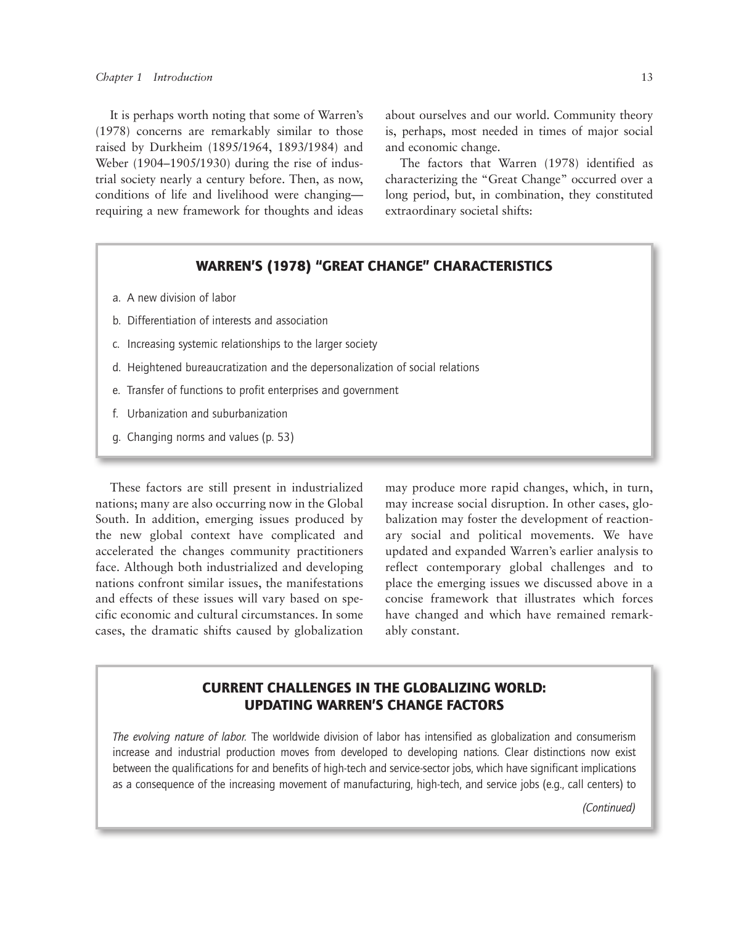It is perhaps worth noting that some of Warren's (1978) concerns are remarkably similar to those raised by Durkheim (1895/1964, 1893/1984) and Weber (1904–1905/1930) during the rise of industrial society nearly a century before. Then, as now, conditions of life and livelihood were changing requiring a new framework for thoughts and ideas about ourselves and our world. Community theory is, perhaps, most needed in times of major social and economic change.

The factors that Warren (1978) identified as characterizing the "Great Change" occurred over a long period, but, in combination, they constituted extraordinary societal shifts:

#### WARREN'S (1978) "GREAT CHANGE" CHARACTERISTICS

- a. A new division of labor
- b. Differentiation of interests and association
- c. Increasing systemic relationships to the larger society
- d. Heightened bureaucratization and the depersonalization of social relations
- e. Transfer of functions to profit enterprises and government
- f. Urbanization and suburbanization
- g. Changing norms and values (p. 53)

These factors are still present in industrialized nations; many are also occurring now in the Global South. In addition, emerging issues produced by the new global context have complicated and accelerated the changes community practitioners face. Although both industrialized and developing nations confront similar issues, the manifestations and effects of these issues will vary based on specific economic and cultural circumstances. In some cases, the dramatic shifts caused by globalization

may produce more rapid changes, which, in turn, may increase social disruption. In other cases, globalization may foster the development of reactionary social and political movements. We have updated and expanded Warren's earlier analysis to reflect contemporary global challenges and to place the emerging issues we discussed above in a concise framework that illustrates which forces have changed and which have remained remarkably constant.

#### CURRENT CHALLENGES IN THE GLOBALIZING WORLD: UPDATING WARREN'S CHANGE FACTORS

*The evolving nature of labor.* The worldwide division of labor has intensified as globalization and consumerism increase and industrial production moves from developed to developing nations. Clear distinctions now exist between the qualifications for and benefits of high-tech and service-sector jobs, which have significant implications as a consequence of the increasing movement of manufacturing, high-tech, and service jobs (e.g., call centers) to

*(Continued)*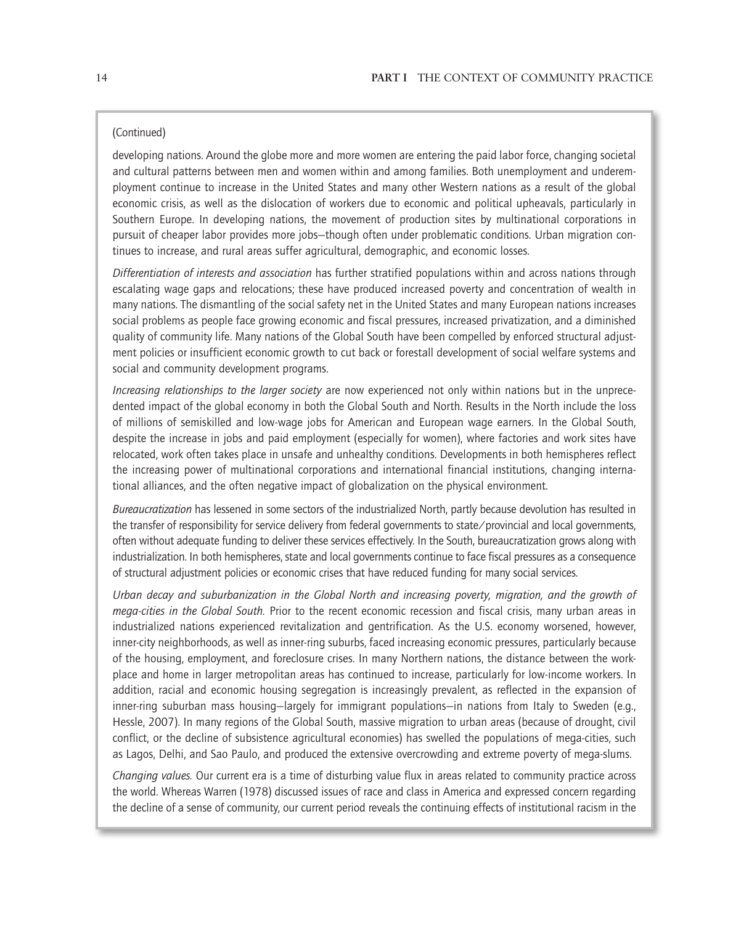#### (Continued)

developing nations. Around the globe more and more women are entering the paid labor force, changing societal and cultural patterns between men and women within and among families. Both unemployment and underemployment continue to increase in the United States and many other Western nations as a result of the global economic crisis, as well as the dislocation of workers due to economic and political upheavals, particularly in Southern Europe. In developing nations, the movement of production sites by multinational corporations in pursuit of cheaper labor provides more jobs—though often under problematic conditions. Urban migration continues to increase, and rural areas suffer agricultural, demographic, and economic losses.

*Differentiation of interests and association* has further stratified populations within and across nations through escalating wage gaps and relocations; these have produced increased poverty and concentration of wealth in many nations. The dismantling of the social safety net in the United States and many European nations increases social problems as people face growing economic and fiscal pressures, increased privatization, and a diminished quality of community life. Many nations of the Global South have been compelled by enforced structural adjustment policies or insufficient economic growth to cut back or forestall development of social welfare systems and social and community development programs.

*Increasing relationships to the larger society* are now experienced not only within nations but in the unprecedented impact of the global economy in both the Global South and North. Results in the North include the loss of millions of semiskilled and low-wage jobs for American and European wage earners. In the Global South, despite the increase in jobs and paid employment (especially for women), where factories and work sites have relocated, work often takes place in unsafe and unhealthy conditions. Developments in both hemispheres reflect the increasing power of multinational corporations and international financial institutions, changing international alliances, and the often negative impact of globalization on the physical environment.

*Bureaucratization* has lessened in some sectors of the industrialized North, partly because devolution has resulted in the transfer of responsibility for service delivery from federal governments to state/provincial and local governments, often without adequate funding to deliver these services effectively. In the South, bureaucratization grows along with industrialization. In both hemispheres, state and local governments continue to face fiscal pressures as a consequence of structural adjustment policies or economic crises that have reduced funding for many social services.

*Urban decay and suburbanization in the Global North and increasing poverty, migration, and the growth of mega-cities in the Global South.* Prior to the recent economic recession and fiscal crisis, many urban areas in industrialized nations experienced revitalization and gentrification. As the U.S. economy worsened, however, inner-city neighborhoods, as well as inner-ring suburbs, faced increasing economic pressures, particularly because of the housing, employment, and foreclosure crises. In many Northern nations, the distance between the workplace and home in larger metropolitan areas has continued to increase, particularly for low-income workers. In addition, racial and economic housing segregation is increasingly prevalent, as reflected in the expansion of inner-ring suburban mass housing—largely for immigrant populations—in nations from Italy to Sweden (e.g., Hessle, 2007). In many regions of the Global South, massive migration to urban areas (because of drought, civil conflict, or the decline of subsistence agricultural economies) has swelled the populations of mega-cities, such as Lagos, Delhi, and Sao Paulo, and produced the extensive overcrowding and extreme poverty of mega-slums.

*Changing values.* Our current era is a time of disturbing value flux in areas related to community practice across the world. Whereas Warren (1978) discussed issues of race and class in America and expressed concern regarding the decline of a sense of community, our current period reveals the continuing effects of institutional racism in the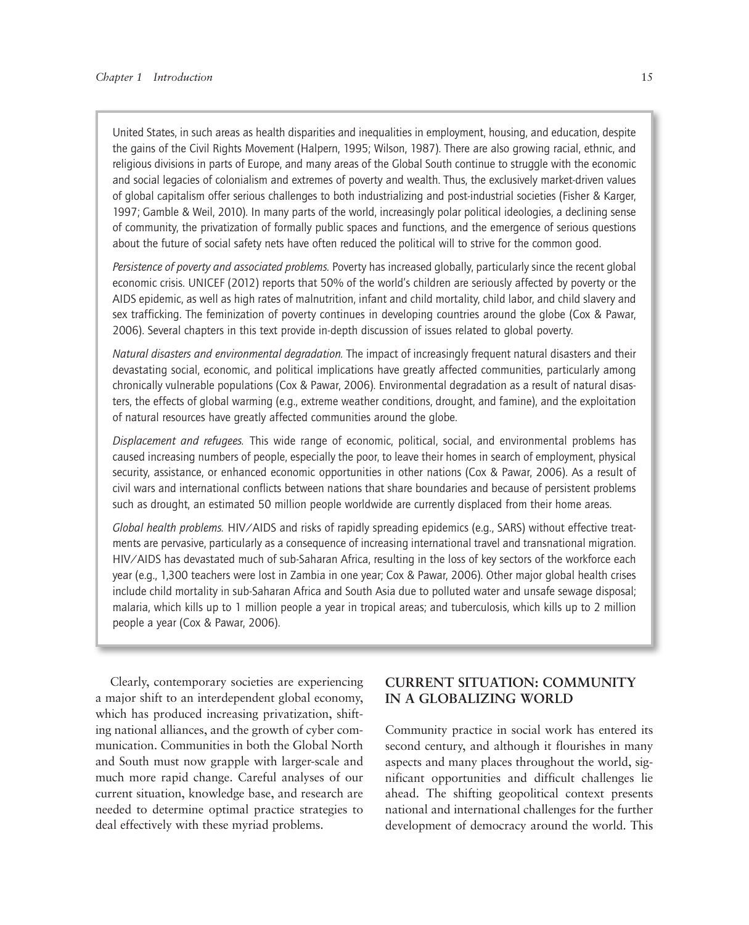United States, in such areas as health disparities and inequalities in employment, housing, and education, despite the gains of the Civil Rights Movement (Halpern, 1995; Wilson, 1987). There are also growing racial, ethnic, and religious divisions in parts of Europe, and many areas of the Global South continue to struggle with the economic and social legacies of colonialism and extremes of poverty and wealth. Thus, the exclusively market-driven values of global capitalism offer serious challenges to both industrializing and post-industrial societies (Fisher & Karger, 1997; Gamble & Weil, 2010). In many parts of the world, increasingly polar political ideologies, a declining sense of community, the privatization of formally public spaces and functions, and the emergence of serious questions about the future of social safety nets have often reduced the political will to strive for the common good.

*Persistence of poverty and associated problems.* Poverty has increased globally, particularly since the recent global economic crisis. UNICEF (2012) reports that 50% of the world's children are seriously affected by poverty or the AIDS epidemic, as well as high rates of malnutrition, infant and child mortality, child labor, and child slavery and sex trafficking. The feminization of poverty continues in developing countries around the globe (Cox & Pawar, 2006). Several chapters in this text provide in-depth discussion of issues related to global poverty.

*Natural disasters and environmental degradation.* The impact of increasingly frequent natural disasters and their devastating social, economic, and political implications have greatly affected communities, particularly among chronically vulnerable populations (Cox & Pawar, 2006). Environmental degradation as a result of natural disasters, the effects of global warming (e.g., extreme weather conditions, drought, and famine), and the exploitation of natural resources have greatly affected communities around the globe.

*Displacement and refugees.* This wide range of economic, political, social, and environmental problems has caused increasing numbers of people, especially the poor, to leave their homes in search of employment, physical security, assistance, or enhanced economic opportunities in other nations (Cox & Pawar, 2006). As a result of civil wars and international conflicts between nations that share boundaries and because of persistent problems such as drought, an estimated 50 million people worldwide are currently displaced from their home areas.

*Global health problems.* HIV/AIDS and risks of rapidly spreading epidemics (e.g., SARS) without effective treatments are pervasive, particularly as a consequence of increasing international travel and transnational migration. HIV/AIDS has devastated much of sub-Saharan Africa, resulting in the loss of key sectors of the workforce each year (e.g., 1,300 teachers were lost in Zambia in one year; Cox & Pawar, 2006). Other major global health crises include child mortality in sub-Saharan Africa and South Asia due to polluted water and unsafe sewage disposal; malaria, which kills up to 1 million people a year in tropical areas; and tuberculosis, which kills up to 2 million people a year (Cox & Pawar, 2006).

Clearly, contemporary societies are experiencing a major shift to an interdependent global economy, which has produced increasing privatization, shifting national alliances, and the growth of cyber communication. Communities in both the Global North and South must now grapple with larger-scale and much more rapid change. Careful analyses of our current situation, knowledge base, and research are needed to determine optimal practice strategies to deal effectively with these myriad problems.

#### **CURRENT SITUATION: COMMUNITY IN A GLOBALIZING WORLD**

Community practice in social work has entered its second century, and although it flourishes in many aspects and many places throughout the world, significant opportunities and difficult challenges lie ahead. The shifting geopolitical context presents national and international challenges for the further development of democracy around the world. This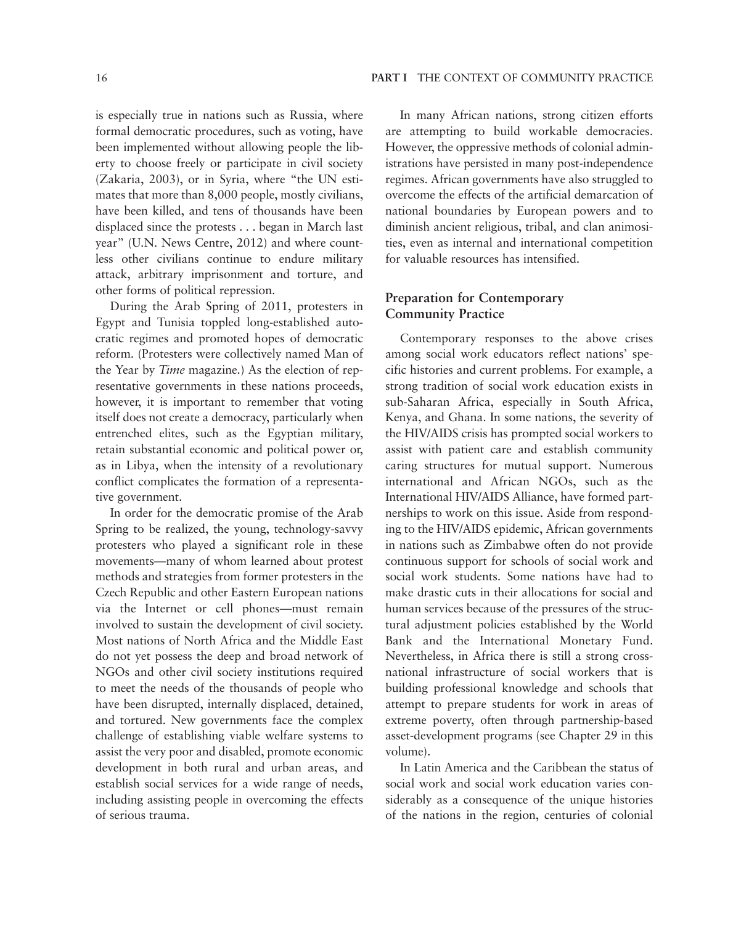is especially true in nations such as Russia, where formal democratic procedures, such as voting, have been implemented without allowing people the liberty to choose freely or participate in civil society (Zakaria, 2003), or in Syria, where "the UN estimates that more than 8,000 people, mostly civilians, have been killed, and tens of thousands have been displaced since the protests . . . began in March last year" (U.N. News Centre, 2012) and where countless other civilians continue to endure military attack, arbitrary imprisonment and torture, and other forms of political repression.

During the Arab Spring of 2011, protesters in Egypt and Tunisia toppled long-established autocratic regimes and promoted hopes of democratic reform. (Protesters were collectively named Man of the Year by *Time* magazine*.*) As the election of representative governments in these nations proceeds, however, it is important to remember that voting itself does not create a democracy, particularly when entrenched elites, such as the Egyptian military, retain substantial economic and political power or, as in Libya, when the intensity of a revolutionary conflict complicates the formation of a representative government.

In order for the democratic promise of the Arab Spring to be realized, the young, technology-savvy protesters who played a significant role in these movements—many of whom learned about protest methods and strategies from former protesters in the Czech Republic and other Eastern European nations via the Internet or cell phones—must remain involved to sustain the development of civil society. Most nations of North Africa and the Middle East do not yet possess the deep and broad network of NGOs and other civil society institutions required to meet the needs of the thousands of people who have been disrupted, internally displaced, detained, and tortured. New governments face the complex challenge of establishing viable welfare systems to assist the very poor and disabled, promote economic development in both rural and urban areas, and establish social services for a wide range of needs, including assisting people in overcoming the effects of serious trauma.

In many African nations, strong citizen efforts are attempting to build workable democracies. However, the oppressive methods of colonial administrations have persisted in many post-independence regimes. African governments have also struggled to overcome the effects of the artificial demarcation of national boundaries by European powers and to diminish ancient religious, tribal, and clan animosities, even as internal and international competition for valuable resources has intensified.

#### **Preparation for Contemporary Community Practice**

Contemporary responses to the above crises among social work educators reflect nations' specific histories and current problems. For example, a strong tradition of social work education exists in sub-Saharan Africa, especially in South Africa, Kenya, and Ghana. In some nations, the severity of the HIV/AIDS crisis has prompted social workers to assist with patient care and establish community caring structures for mutual support. Numerous international and African NGOs, such as the International HIV/AIDS Alliance, have formed partnerships to work on this issue. Aside from responding to the HIV/AIDS epidemic, African governments in nations such as Zimbabwe often do not provide continuous support for schools of social work and social work students. Some nations have had to make drastic cuts in their allocations for social and human services because of the pressures of the structural adjustment policies established by the World Bank and the International Monetary Fund. Nevertheless, in Africa there is still a strong crossnational infrastructure of social workers that is building professional knowledge and schools that attempt to prepare students for work in areas of extreme poverty, often through partnership-based asset-development programs (see Chapter 29 in this volume).

In Latin America and the Caribbean the status of social work and social work education varies considerably as a consequence of the unique histories of the nations in the region, centuries of colonial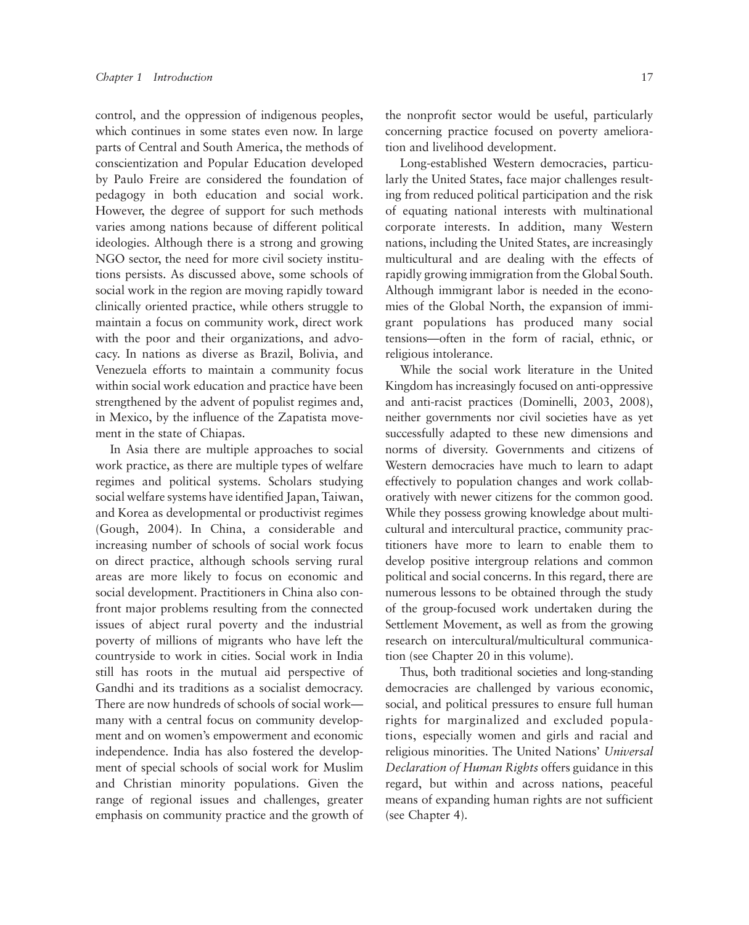control, and the oppression of indigenous peoples, which continues in some states even now. In large parts of Central and South America, the methods of conscientization and Popular Education developed by Paulo Freire are considered the foundation of pedagogy in both education and social work. However, the degree of support for such methods varies among nations because of different political ideologies. Although there is a strong and growing NGO sector, the need for more civil society institutions persists. As discussed above, some schools of social work in the region are moving rapidly toward clinically oriented practice, while others struggle to maintain a focus on community work, direct work with the poor and their organizations, and advocacy. In nations as diverse as Brazil, Bolivia, and Venezuela efforts to maintain a community focus within social work education and practice have been strengthened by the advent of populist regimes and, in Mexico, by the influence of the Zapatista movement in the state of Chiapas.

In Asia there are multiple approaches to social work practice, as there are multiple types of welfare regimes and political systems. Scholars studying social welfare systems have identified Japan, Taiwan, and Korea as developmental or productivist regimes (Gough, 2004). In China, a considerable and increasing number of schools of social work focus on direct practice, although schools serving rural areas are more likely to focus on economic and social development. Practitioners in China also confront major problems resulting from the connected issues of abject rural poverty and the industrial poverty of millions of migrants who have left the countryside to work in cities. Social work in India still has roots in the mutual aid perspective of Gandhi and its traditions as a socialist democracy. There are now hundreds of schools of social work many with a central focus on community development and on women's empowerment and economic independence. India has also fostered the development of special schools of social work for Muslim and Christian minority populations. Given the range of regional issues and challenges, greater emphasis on community practice and the growth of the nonprofit sector would be useful, particularly concerning practice focused on poverty amelioration and livelihood development.

Long-established Western democracies, particularly the United States, face major challenges resulting from reduced political participation and the risk of equating national interests with multinational corporate interests. In addition, many Western nations, including the United States, are increasingly multicultural and are dealing with the effects of rapidly growing immigration from the Global South. Although immigrant labor is needed in the economies of the Global North, the expansion of immigrant populations has produced many social tensions—often in the form of racial, ethnic, or religious intolerance.

While the social work literature in the United Kingdom has increasingly focused on anti-oppressive and anti-racist practices (Dominelli, 2003, 2008), neither governments nor civil societies have as yet successfully adapted to these new dimensions and norms of diversity. Governments and citizens of Western democracies have much to learn to adapt effectively to population changes and work collaboratively with newer citizens for the common good. While they possess growing knowledge about multicultural and intercultural practice, community practitioners have more to learn to enable them to develop positive intergroup relations and common political and social concerns. In this regard, there are numerous lessons to be obtained through the study of the group-focused work undertaken during the Settlement Movement, as well as from the growing research on intercultural/multicultural communication (see Chapter 20 in this volume).

Thus, both traditional societies and long-standing democracies are challenged by various economic, social, and political pressures to ensure full human rights for marginalized and excluded populations, especially women and girls and racial and religious minorities. The United Nations' *Universal Declaration of Human Rights* offers guidance in this regard, but within and across nations, peaceful means of expanding human rights are not sufficient (see Chapter 4).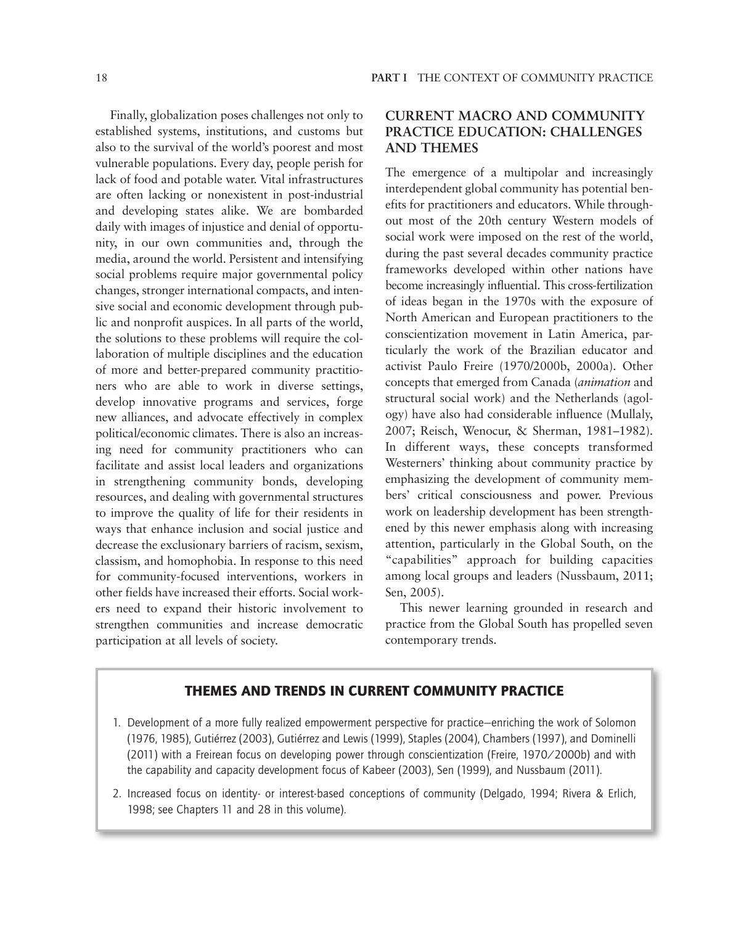Finally, globalization poses challenges not only to established systems, institutions, and customs but also to the survival of the world's poorest and most vulnerable populations. Every day, people perish for lack of food and potable water. Vital infrastructures are often lacking or nonexistent in post-industrial and developing states alike. We are bombarded daily with images of injustice and denial of opportunity, in our own communities and, through the media, around the world. Persistent and intensifying social problems require major governmental policy changes, stronger international compacts, and intensive social and economic development through public and nonprofit auspices. In all parts of the world, the solutions to these problems will require the collaboration of multiple disciplines and the education of more and better-prepared community practitioners who are able to work in diverse settings, develop innovative programs and services, forge new alliances, and advocate effectively in complex political/economic climates. There is also an increasing need for community practitioners who can facilitate and assist local leaders and organizations in strengthening community bonds, developing resources, and dealing with governmental structures to improve the quality of life for their residents in ways that enhance inclusion and social justice and decrease the exclusionary barriers of racism, sexism, classism, and homophobia. In response to this need for community-focused interventions, workers in other fields have increased their efforts. Social workers need to expand their historic involvement to strengthen communities and increase democratic participation at all levels of society.

#### **CURRENT MACRO AND COMMUNITY PRACTICE EDUCATION: CHALLENGES AND THEMES**

The emergence of a multipolar and increasingly interdependent global community has potential benefits for practitioners and educators. While throughout most of the 20th century Western models of social work were imposed on the rest of the world, during the past several decades community practice frameworks developed within other nations have become increasingly influential. This cross-fertilization of ideas began in the 1970s with the exposure of North American and European practitioners to the conscientization movement in Latin America, particularly the work of the Brazilian educator and activist Paulo Freire (1970/2000b, 2000a). Other concepts that emerged from Canada (*animation* and structural social work) and the Netherlands (agology) have also had considerable influence (Mullaly, 2007; Reisch, Wenocur, & Sherman, 1981–1982). In different ways, these concepts transformed Westerners' thinking about community practice by emphasizing the development of community members' critical consciousness and power. Previous work on leadership development has been strengthened by this newer emphasis along with increasing attention, particularly in the Global South, on the "capabilities" approach for building capacities among local groups and leaders (Nussbaum, 2011; Sen, 2005).

This newer learning grounded in research and practice from the Global South has propelled seven contemporary trends.

#### THEMES AND TRENDS IN CURRENT COMMUNITY PRACTICE

- 1. Development of a more fully realized empowerment perspective for practice—enriching the work of Solomon (1976, 1985), Gutiérrez (2003), Gutiérrez and Lewis (1999), Staples (2004), Chambers (1997), and Dominelli (2011) with a Freirean focus on developing power through conscientization (Freire, 1970/2000b) and with the capability and capacity development focus of Kabeer (2003), Sen (1999), and Nussbaum (2011).
- 2. Increased focus on identity- or interest-based conceptions of community (Delgado, 1994; Rivera & Erlich, 1998; see Chapters 11 and 28 in this volume).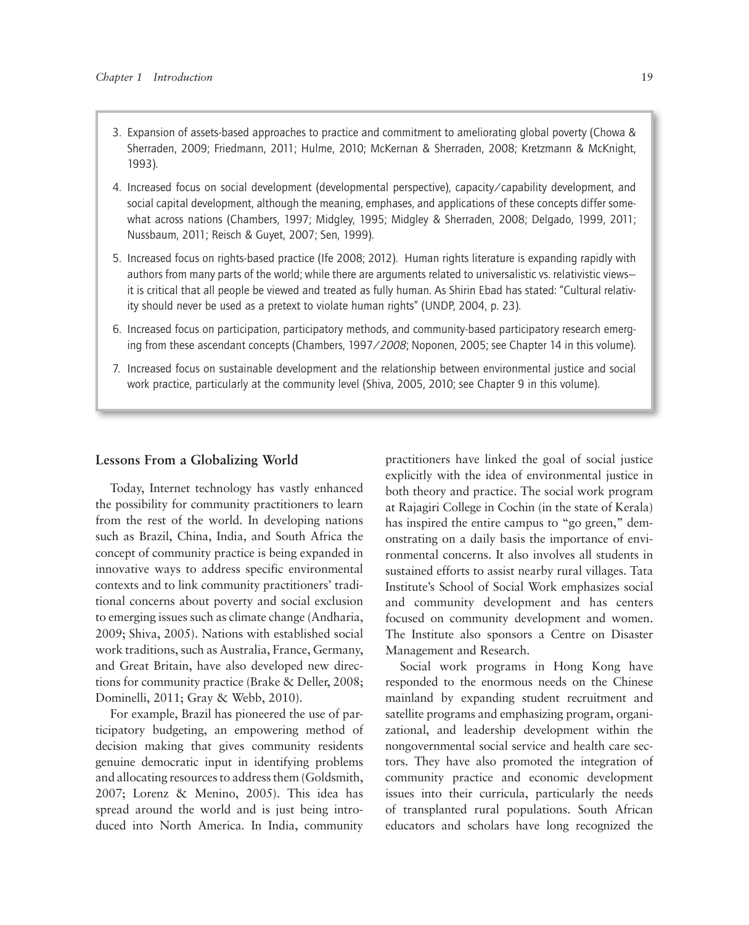- 3. Expansion of assets-based approaches to practice and commitment to ameliorating global poverty (Chowa & Sherraden, 2009; Friedmann, 2011; Hulme, 2010; McKernan & Sherraden, 2008; Kretzmann & McKnight, 1993).
- 4. Increased focus on social development (developmental perspective), capacity/capability development, and social capital development, although the meaning, emphases, and applications of these concepts differ somewhat across nations (Chambers, 1997; Midgley, 1995; Midgley & Sherraden, 2008; Delgado, 1999, 2011; Nussbaum, 2011; Reisch & Guyet, 2007; Sen, 1999).
- 5. Increased focus on rights-based practice (Ife 2008; 2012). Human rights literature is expanding rapidly with authors from many parts of the world; while there are arguments related to universalistic vs. relativistic views it is critical that all people be viewed and treated as fully human. As Shirin Ebad has stated: "Cultural relativity should never be used as a pretext to violate human rights" (UNDP, 2004, p. 23).
- 6. Increased focus on participation, participatory methods, and community-based participatory research emerging from these ascendant concepts (Chambers, 1997/*2008*; Noponen, 2005; see Chapter 14 in this volume).
- 7. Increased focus on sustainable development and the relationship between environmental justice and social work practice, particularly at the community level (Shiva, 2005, 2010; see Chapter 9 in this volume).

#### **Lessons From a Globalizing World**

Today, Internet technology has vastly enhanced the possibility for community practitioners to learn from the rest of the world. In developing nations such as Brazil, China, India, and South Africa the concept of community practice is being expanded in innovative ways to address specific environmental contexts and to link community practitioners' traditional concerns about poverty and social exclusion to emerging issues such as climate change (Andharia, 2009; Shiva, 2005). Nations with established social work traditions, such as Australia, France, Germany, and Great Britain, have also developed new directions for community practice (Brake & Deller, 2008; Dominelli, 2011; Gray & Webb, 2010).

For example, Brazil has pioneered the use of participatory budgeting, an empowering method of decision making that gives community residents genuine democratic input in identifying problems and allocating resources to address them (Goldsmith, 2007; Lorenz & Menino, 2005). This idea has spread around the world and is just being introduced into North America. In India, community practitioners have linked the goal of social justice explicitly with the idea of environmental justice in both theory and practice. The social work program at Rajagiri College in Cochin (in the state of Kerala) has inspired the entire campus to "go green," demonstrating on a daily basis the importance of environmental concerns. It also involves all students in sustained efforts to assist nearby rural villages. Tata Institute's School of Social Work emphasizes social and community development and has centers focused on community development and women. The Institute also sponsors a Centre on Disaster Management and Research.

Social work programs in Hong Kong have responded to the enormous needs on the Chinese mainland by expanding student recruitment and satellite programs and emphasizing program, organizational, and leadership development within the nongovernmental social service and health care sectors. They have also promoted the integration of community practice and economic development issues into their curricula, particularly the needs of transplanted rural populations. South African educators and scholars have long recognized the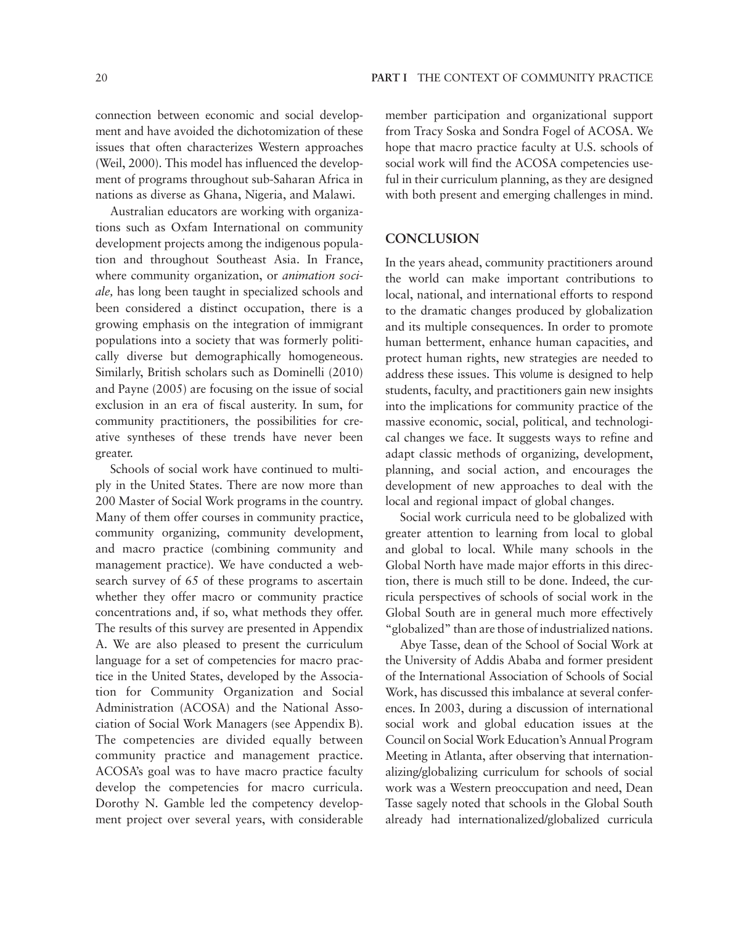connection between economic and social development and have avoided the dichotomization of these issues that often characterizes Western approaches (Weil, 2000). This model has influenced the development of programs throughout sub-Saharan Africa in nations as diverse as Ghana, Nigeria, and Malawi.

Australian educators are working with organizations such as Oxfam International on community development projects among the indigenous population and throughout Southeast Asia. In France, where community organization, or *animation sociale,* has long been taught in specialized schools and been considered a distinct occupation, there is a growing emphasis on the integration of immigrant populations into a society that was formerly politically diverse but demographically homogeneous. Similarly, British scholars such as Dominelli (2010) and Payne (2005) are focusing on the issue of social exclusion in an era of fiscal austerity. In sum, for community practitioners, the possibilities for creative syntheses of these trends have never been greater.

Schools of social work have continued to multiply in the United States. There are now more than 200 Master of Social Work programs in the country. Many of them offer courses in community practice, community organizing, community development, and macro practice (combining community and management practice). We have conducted a websearch survey of 65 of these programs to ascertain whether they offer macro or community practice concentrations and, if so, what methods they offer. The results of this survey are presented in Appendix A. We are also pleased to present the curriculum language for a set of competencies for macro practice in the United States, developed by the Association for Community Organization and Social Administration (ACOSA) and the National Association of Social Work Managers (see Appendix B). The competencies are divided equally between community practice and management practice. ACOSA's goal was to have macro practice faculty develop the competencies for macro curricula. Dorothy N. Gamble led the competency development project over several years, with considerable member participation and organizational support from Tracy Soska and Sondra Fogel of ACOSA. We hope that macro practice faculty at U.S. schools of social work will find the ACOSA competencies useful in their curriculum planning, as they are designed with both present and emerging challenges in mind.

#### **CONCLUSION**

In the years ahead, community practitioners around the world can make important contributions to local, national, and international efforts to respond to the dramatic changes produced by globalization and its multiple consequences. In order to promote human betterment, enhance human capacities, and protect human rights, new strategies are needed to address these issues. This volume is designed to help students, faculty, and practitioners gain new insights into the implications for community practice of the massive economic, social, political, and technological changes we face. It suggests ways to refine and adapt classic methods of organizing, development, planning, and social action, and encourages the development of new approaches to deal with the local and regional impact of global changes.

Social work curricula need to be globalized with greater attention to learning from local to global and global to local. While many schools in the Global North have made major efforts in this direction, there is much still to be done. Indeed, the curricula perspectives of schools of social work in the Global South are in general much more effectively "globalized" than are those of industrialized nations.

Abye Tasse, dean of the School of Social Work at the University of Addis Ababa and former president of the International Association of Schools of Social Work, has discussed this imbalance at several conferences. In 2003, during a discussion of international social work and global education issues at the Council on Social Work Education's Annual Program Meeting in Atlanta, after observing that internationalizing/globalizing curriculum for schools of social work was a Western preoccupation and need, Dean Tasse sagely noted that schools in the Global South already had internationalized/globalized curricula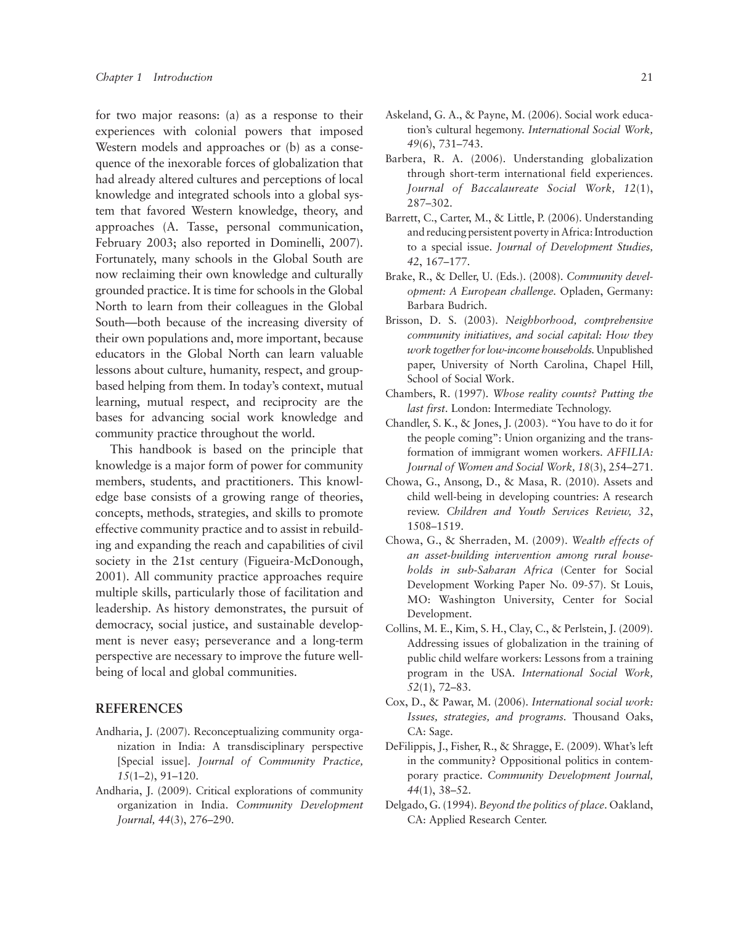for two major reasons: (a) as a response to their experiences with colonial powers that imposed Western models and approaches or (b) as a consequence of the inexorable forces of globalization that had already altered cultures and perceptions of local knowledge and integrated schools into a global system that favored Western knowledge, theory, and approaches (A. Tasse, personal communication, February 2003; also reported in Dominelli, 2007). Fortunately, many schools in the Global South are now reclaiming their own knowledge and culturally grounded practice. It is time for schools in the Global North to learn from their colleagues in the Global South—both because of the increasing diversity of their own populations and, more important, because educators in the Global North can learn valuable lessons about culture, humanity, respect, and groupbased helping from them. In today's context, mutual learning, mutual respect, and reciprocity are the bases for advancing social work knowledge and community practice throughout the world.

This handbook is based on the principle that knowledge is a major form of power for community members, students, and practitioners. This knowledge base consists of a growing range of theories, concepts, methods, strategies, and skills to promote effective community practice and to assist in rebuilding and expanding the reach and capabilities of civil society in the 21st century (Figueira-McDonough, 2001). All community practice approaches require multiple skills, particularly those of facilitation and leadership. As history demonstrates, the pursuit of democracy, social justice, and sustainable development is never easy; perseverance and a long-term perspective are necessary to improve the future wellbeing of local and global communities.

#### **REFERENCES**

- Andharia, J. (2007). Reconceptualizing community organization in India: A transdisciplinary perspective [Special issue]. *Journal of Community Practice, 15*(1–2), 91–120.
- Andharia, J. (2009). Critical explorations of community organization in India. *Community Development Journal, 44*(3), 276–290.
- Askeland, G. A., & Payne, M. (2006). Social work education's cultural hegemony. *International Social Work, 49*(6), 731–743.
- Barbera, R. A. (2006). Understanding globalization through short-term international field experiences. *Journal of Baccalaureate Social Work, 12*(1), 287–302.
- Barrett, C., Carter, M., & Little, P. (2006). Understanding and reducing persistent poverty in Africa: Introduction to a special issue. *Journal of Development Studies, 42*, 167–177.
- Brake, R., & Deller, U. (Eds.). (2008). *Community development: A European challenge.* Opladen, Germany: Barbara Budrich.
- Brisson, D. S. (2003). *Neighborhood, comprehensive community initiatives, and social capital: How they work together for low-income households.* Unpublished paper, University of North Carolina, Chapel Hill, School of Social Work.
- Chambers, R. (1997). *Whose reality counts? Putting the last first*. London: Intermediate Technology.
- Chandler, S. K., & Jones, J. (2003). "You have to do it for the people coming": Union organizing and the transformation of immigrant women workers. *AFFILIA: Journal of Women and Social Work, 18*(3), 254–271.
- Chowa, G., Ansong, D., & Masa, R. (2010). Assets and child well-being in developing countries: A research review. *Children and Youth Services Review, 32*, 1508–1519.
- Chowa, G., & Sherraden, M. (2009). *Wealth effects of an asset-building intervention among rural households in sub-Saharan Africa* (Center for Social Development Working Paper No. 09-57). St Louis, MO: Washington University, Center for Social Development.
- Collins, M. E., Kim, S. H., Clay, C., & Perlstein, J. (2009). Addressing issues of globalization in the training of public child welfare workers: Lessons from a training program in the USA. *International Social Work, 52*(1), 72–83.
- Cox, D., & Pawar, M. (2006). *International social work: Issues, strategies, and programs.* Thousand Oaks, CA: Sage.
- DeFilippis, J., Fisher, R., & Shragge, E. (2009). What's left in the community? Oppositional politics in contemporary practice. *Community Development Journal, 44*(1), 38–52.
- Delgado, G. (1994). *Beyond the politics of place*. Oakland, CA: Applied Research Center.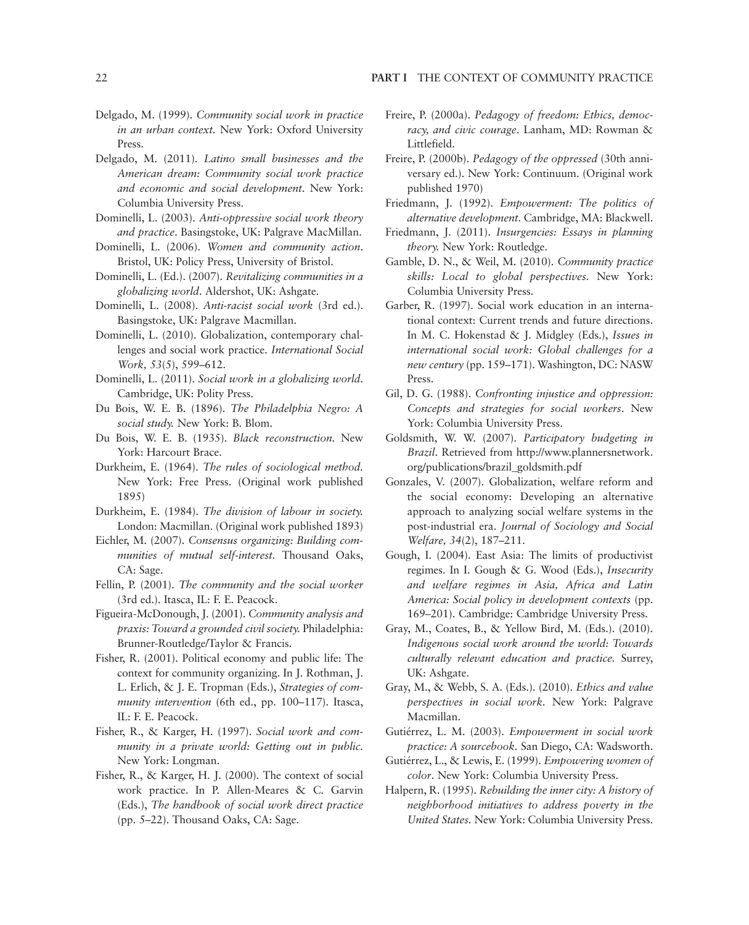- Delgado, M. (1999). *Community social work in practice in an urban context.* New York: Oxford University Press.
- Delgado, M. (2011). *Latino small businesses and the American dream: Community social work practice and economic and social development*. New York: Columbia University Press.
- Dominelli, L. (2003). *Anti-oppressive social work theory and practice*. Basingstoke, UK: Palgrave MacMillan.
- Dominelli, L. (2006). *Women and community action*. Bristol, UK: Policy Press, University of Bristol.
- Dominelli, L. (Ed.). (2007). *Revitalizing communities in a globalizing world*. Aldershot, UK: Ashgate.
- Dominelli, L. (2008). *Anti-racist social work* (3rd ed.). Basingstoke, UK: Palgrave Macmillan.
- Dominelli, L. (2010). Globalization, contemporary challenges and social work practice. *International Social Work, 53*(5), 599–612.
- Dominelli, L. (2011). *Social work in a globalizing world*. Cambridge, UK: Polity Press.
- Du Bois, W. E. B. (1896). *The Philadelphia Negro: A social study.* New York: B. Blom.
- Du Bois, W. E. B. (1935). *Black reconstruction.* New York: Harcourt Brace.
- Durkheim, E. (1964). *The rules of sociological method.* New York: Free Press. (Original work published 1895)
- Durkheim, E. (1984). *The division of labour in society.* London: Macmillan. (Original work published 1893)
- Eichler, M. (2007). *Consensus organizing: Building communities of mutual self-interest.* Thousand Oaks, CA: Sage.
- Fellin, P. (2001). *The community and the social worker*  (3rd ed.). Itasca, IL: F. E. Peacock.
- Figueira-McDonough, J. (2001). *Community analysis and praxis: Toward a grounded civil society.* Philadelphia: Brunner-Routledge/Taylor & Francis.
- Fisher, R. (2001). Political economy and public life: The context for community organizing. In J. Rothman, J. L. Erlich, & J. E. Tropman (Eds.), *Strategies of community intervention* (6th ed., pp. 100–117). Itasca, IL: F. E. Peacock.
- Fisher, R., & Karger, H. (1997). *Social work and community in a private world: Getting out in public.* New York: Longman.
- Fisher, R., & Karger, H. J. (2000). The context of social work practice. In P. Allen-Meares & C. Garvin (Eds.), *The handbook of social work direct practice* (pp. 5–22). Thousand Oaks, CA: Sage.
- Freire, P. (2000a). *Pedagogy of freedom: Ethics, democracy, and civic courage*. Lanham, MD: Rowman & Littlefield.
- Freire, P. (2000b). *Pedagogy of the oppressed* (30th anniversary ed.). New York: Continuum. (Original work published 1970)
- Friedmann, J. (1992). *Empowerment: The politics of alternative development.* Cambridge, MA: Blackwell.
- Friedmann, J. (2011). *Insurgencies: Essays in planning theory.* New York: Routledge.
- Gamble, D. N., & Weil, M. (2010). *Community practice skills: Local to global perspectives.* New York: Columbia University Press.
- Garber, R. (1997). Social work education in an international context: Current trends and future directions. In M. C. Hokenstad & J. Midgley (Eds.), *Issues in international social work: Global challenges for a new century* (pp. 159–171). Washington, DC: NASW Press.
- Gil, D. G. (1988). *Confronting injustice and oppression: Concepts and strategies for social workers*. New York: Columbia University Press.
- Goldsmith, W. W. (2007). *Participatory budgeting in Brazil*. Retrieved from http://www.plannersnetwork. org/publications/brazil\_goldsmith.pdf
- Gonzales, V. (2007). Globalization, welfare reform and the social economy: Developing an alternative approach to analyzing social welfare systems in the post-industrial era. *Journal of Sociology and Social Welfare, 34*(2), 187–211.
- Gough, I. (2004). East Asia: The limits of productivist regimes. In I. Gough & G. Wood (Eds.), *Insecurity and welfare regimes in Asia, Africa and Latin America: Social policy in development contexts* (pp. 169–201). Cambridge: Cambridge University Press.
- Gray, M., Coates, B., & Yellow Bird, M. (Eds.). (2010). *Indigenous social work around the world: Towards culturally relevant education and practice.* Surrey, UK: Ashgate.
- Gray, M., & Webb, S. A. (Eds.). (2010). *Ethics and value perspectives in social work.* New York: Palgrave Macmillan.
- Gutiérrez, L. M. (2003). *Empowerment in social work practice: A sourcebook.* San Diego, CA: Wadsworth.
- Gutiérrez, L., & Lewis, E. (1999). *Empowering women of color*. New York: Columbia University Press.
- Halpern, R. (1995). *Rebuilding the inner city: A history of neighborhood initiatives to address poverty in the United States.* New York: Columbia University Press.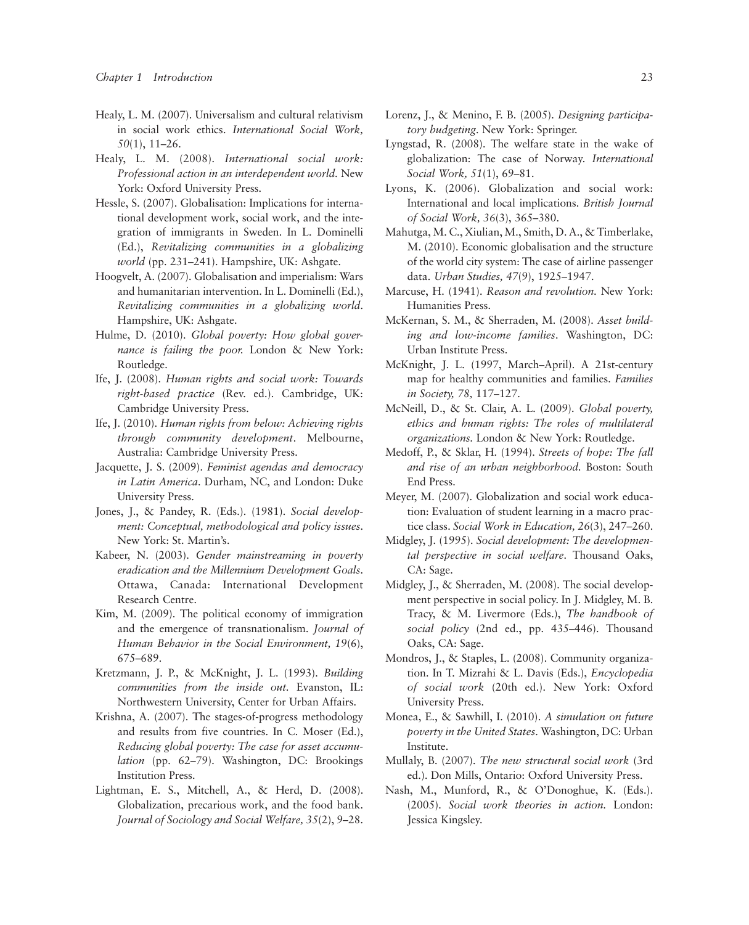- Healy, L. M. (2007). Universalism and cultural relativism in social work ethics. *International Social Work, 50*(1), 11–26.
- Healy, L. M. (2008). *International social work: Professional action in an interdependent world.* New York: Oxford University Press.
- Hessle, S. (2007). Globalisation: Implications for international development work, social work, and the integration of immigrants in Sweden. In L. Dominelli (Ed.), *Revitalizing communities in a globalizing world* (pp. 231–241). Hampshire, UK: Ashgate.
- Hoogvelt, A. (2007). Globalisation and imperialism: Wars and humanitarian intervention. In L. Dominelli (Ed.), *Revitalizing communities in a globalizing world*. Hampshire, UK: Ashgate.
- Hulme, D. (2010). *Global poverty: How global governance is failing the poor.* London & New York: Routledge.
- Ife, J. (2008). *Human rights and social work: Towards right-based practice* (Rev. ed.). Cambridge, UK: Cambridge University Press.
- Ife, J. (2010). *Human rights from below: Achieving rights through community development*. Melbourne, Australia: Cambridge University Press.
- Jacquette, J. S. (2009). *Feminist agendas and democracy in Latin America*. Durham, NC, and London: Duke University Press.
- Jones, J., & Pandey, R. (Eds.). (1981). *Social development: Conceptual, methodological and policy issues*. New York: St. Martin's.
- Kabeer, N. (2003). *Gender mainstreaming in poverty eradication and the Millennium Development Goals*. Ottawa, Canada: International Development Research Centre.
- Kim, M. (2009). The political economy of immigration and the emergence of transnationalism. *Journal of Human Behavior in the Social Environment, 19*(6), 675–689.
- Kretzmann, J. P., & McKnight, J. L. (1993). *Building communities from the inside out.* Evanston, IL: Northwestern University, Center for Urban Affairs.
- Krishna, A. (2007). The stages-of-progress methodology and results from five countries. In C. Moser (Ed.), *Reducing global poverty: The case for asset accumulation* (pp. 62–79). Washington, DC: Brookings Institution Press.
- Lightman, E. S., Mitchell, A., & Herd, D. (2008). Globalization, precarious work, and the food bank. *Journal of Sociology and Social Welfare, 35*(2), 9–28.
- Lorenz, J., & Menino, F. B. (2005). *Designing participatory budgeting*. New York: Springer.
- Lyngstad, R. (2008). The welfare state in the wake of globalization: The case of Norway. *International Social Work, 51*(1), 69–81.
- Lyons, K. (2006). Globalization and social work: International and local implications. *British Journal of Social Work, 36*(3), 365–380.
- Mahutga, M. C., Xiulian, M., Smith, D. A., & Timberlake, M. (2010). Economic globalisation and the structure of the world city system: The case of airline passenger data. *Urban Studies, 47*(9), 1925–1947.
- Marcuse, H. (1941). *Reason and revolution.* New York: Humanities Press.
- McKernan, S. M., & Sherraden, M. (2008). *Asset building and low-income families*. Washington, DC: Urban Institute Press.
- McKnight, J. L. (1997, March–April). A 21st-century map for healthy communities and families. *Families in Society, 78,* 117–127.
- McNeill, D., & St. Clair, A. L. (2009). *Global poverty, ethics and human rights: The roles of multilateral organizations.* London & New York: Routledge.
- Medoff, P., & Sklar, H. (1994). *Streets of hope: The fall and rise of an urban neighborhood.* Boston: South End Press.
- Meyer, M. (2007). Globalization and social work education: Evaluation of student learning in a macro practice class. *Social Work in Education, 26*(3), 247–260.
- Midgley, J. (1995). *Social development: The developmental perspective in social welfare*. Thousand Oaks, CA: Sage.
- Midgley, J., & Sherraden, M. (2008). The social development perspective in social policy. In J. Midgley, M. B. Tracy, & M. Livermore (Eds.), *The handbook of social policy* (2nd ed., pp. 435–446). Thousand Oaks, CA: Sage.
- Mondros, J., & Staples, L. (2008). Community organization. In T. Mizrahi & L. Davis (Eds.), *Encyclopedia of social work* (20th ed.). New York: Oxford University Press.
- Monea, E., & Sawhill, I. (2010). *A simulation on future poverty in the United States*. Washington, DC: Urban Institute.
- Mullaly, B. (2007). *The new structural social work* (3rd ed.). Don Mills, Ontario: Oxford University Press.
- Nash, M., Munford, R., & O'Donoghue, K. (Eds.). (2005). *Social work theories in action.* London: Jessica Kingsley.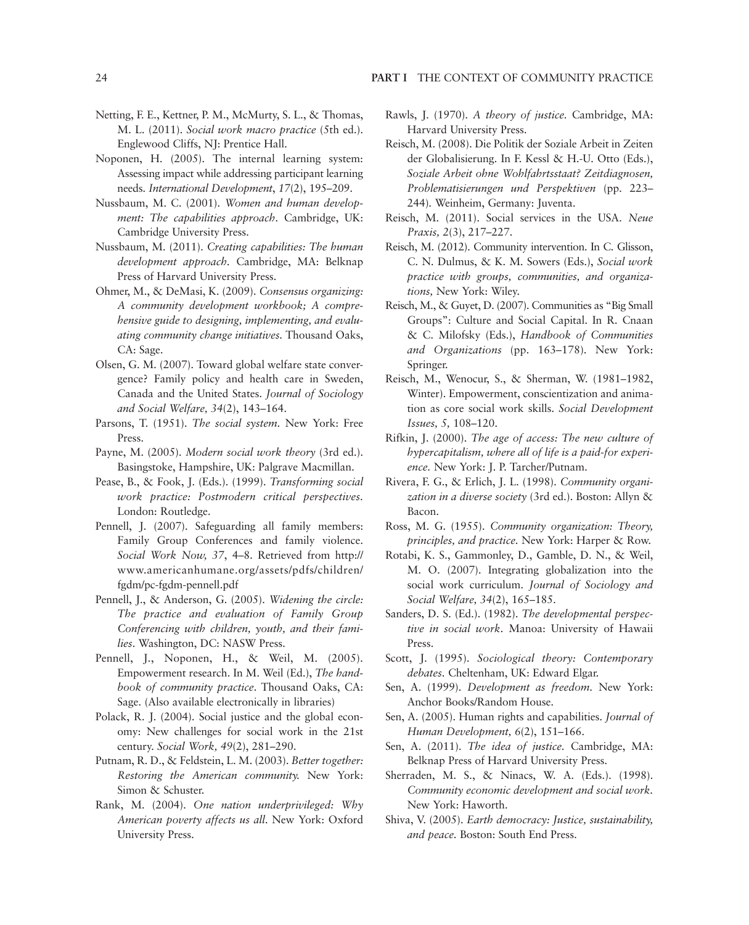- Netting, F. E., Kettner, P. M., McMurty, S. L., & Thomas, M. L. (2011). *Social work macro practice* (5th ed.). Englewood Cliffs, NJ: Prentice Hall.
- Noponen, H. (2005). The internal learning system: Assessing impact while addressing participant learning needs. *International Development*, *17*(2), 195–209.
- Nussbaum, M. C. (2001). *Women and human development: The capabilities approach*. Cambridge, UK: Cambridge University Press.
- Nussbaum, M. (2011). *Creating capabilities: The human development approach.* Cambridge, MA: Belknap Press of Harvard University Press.
- Ohmer, M., & DeMasi, K. (2009). *Consensus organizing: A community development workbook; A comprehensive guide to designing, implementing, and evaluating community change initiatives.* Thousand Oaks, CA: Sage.
- Olsen, G. M. (2007). Toward global welfare state convergence? Family policy and health care in Sweden, Canada and the United States. *Journal of Sociology and Social Welfare, 34*(2), 143–164.
- Parsons, T. (1951). *The social system.* New York: Free Press.
- Payne, M. (2005). *Modern social work theory* (3rd ed.). Basingstoke, Hampshire, UK: Palgrave Macmillan.
- Pease, B., & Fook, J. (Eds.). (1999). *Transforming social work practice: Postmodern critical perspectives.* London: Routledge.
- Pennell, J. (2007). Safeguarding all family members: Family Group Conferences and family violence. *Social Work Now, 37*, 4–8. Retrieved from http:// www.americanhumane.org/assets/pdfs/children/ fgdm/pc-fgdm-pennell.pdf
- Pennell, J., & Anderson, G. (2005). *Widening the circle: The practice and evaluation of Family Group Conferencing with children, youth, and their families*. Washington, DC: NASW Press.
- Pennell, J., Noponen, H., & Weil, M. (2005). Empowerment research. In M. Weil (Ed.), *The handbook of community practice*. Thousand Oaks, CA: Sage. (Also available electronically in libraries)
- Polack, R. J. (2004). Social justice and the global economy: New challenges for social work in the 21st century. *Social Work, 49*(2), 281–290.
- Putnam, R. D., & Feldstein, L. M. (2003). *Better together: Restoring the American community.* New York: Simon & Schuster.
- Rank, M. (2004). *One nation underprivileged: Why American poverty affects us all*. New York: Oxford University Press.
- Rawls, J. (1970). *A theory of justice.* Cambridge, MA: Harvard University Press.
- Reisch, M. (2008). Die Politik der Soziale Arbeit in Zeiten der Globalisierung. In F. Kessl & H.-U. Otto (Eds.), *Soziale Arbeit ohne Wohlfahrtsstaat? Zeitdiagnosen, Problematisierungen und Perspektiven* (pp. 223– 244)*.* Weinheim, Germany: Juventa.
- Reisch, M. (2011). Social services in the USA. *Neue Praxis, 2*(3), 217–227.
- Reisch, M. (2012). Community intervention. In C. Glisson, C. N. Dulmus, & K. M. Sowers (Eds.), *Social work practice with groups, communities, and organizations,* New York: Wiley.
- Reisch, M., & Guyet, D. (2007). Communities as "Big Small Groups": Culture and Social Capital. In R. Cnaan & C. Milofsky (Eds.), *Handbook of Communities and Organizations* (pp. 163–178)*.* New York: Springer.
- Reisch, M., Wenocur, S., & Sherman, W. (1981–1982, Winter). Empowerment, conscientization and animation as core social work skills. *Social Development Issues, 5,* 108–120.
- Rifkin, J. (2000). *The age of access: The new culture of hypercapitalism, where all of life is a paid-for experience.* New York: J. P. Tarcher/Putnam.
- Rivera, F. G., & Erlich, J. L. (1998). *Community organization in a diverse society* (3rd ed.). Boston: Allyn & Bacon.
- Ross, M. G. (1955). *Community organization: Theory, principles, and practice.* New York: Harper & Row.
- Rotabi, K. S., Gammonley, D., Gamble, D. N., & Weil, M. O. (2007). Integrating globalization into the social work curriculum. *Journal of Sociology and Social Welfare, 34*(2), 165–185.
- Sanders, D. S. (Ed.). (1982). *The developmental perspective in social work*. Manoa: University of Hawaii Press.
- Scott, J. (1995). *Sociological theory: Contemporary debates.* Cheltenham, UK: Edward Elgar.
- Sen, A. (1999). *Development as freedom.* New York: Anchor Books/Random House.
- Sen, A. (2005). Human rights and capabilities. *Journal of Human Development, 6*(2), 151–166.
- Sen, A. (2011). *The idea of justice.* Cambridge, MA: Belknap Press of Harvard University Press.
- Sherraden, M. S., & Ninacs, W. A. (Eds.). (1998). *Community economic development and social work.*  New York: Haworth.
- Shiva, V. (2005). *Earth democracy: Justice, sustainability, and peace.* Boston: South End Press.